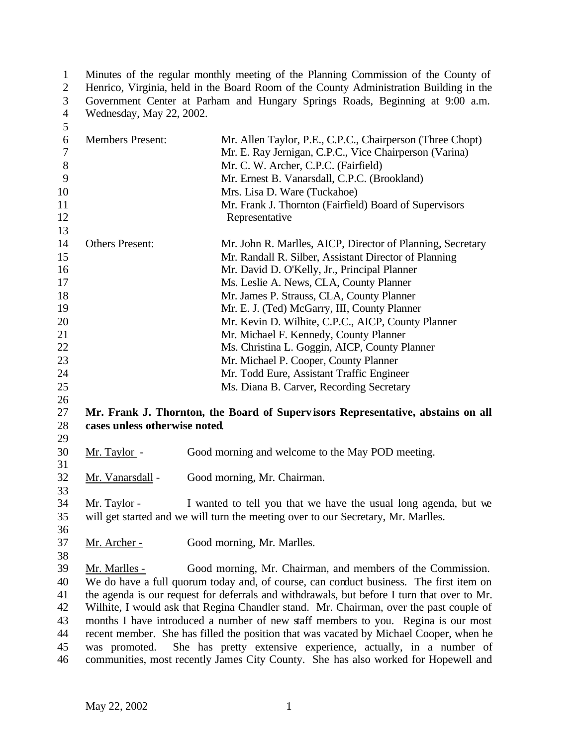1 Minutes of the regular monthly meeting of the Planning Commission of the County of Henrico, Virginia, held in the Board Room of the County Administration Building in the Henrico, Virginia, held in the Board Room of the County Administration Building in the Government Center at Parham and Hungary Springs Roads, Beginning at 9:00 a.m. Wednesday, May 22, 2002.

| 5                |                               |                                                                                             |
|------------------|-------------------------------|---------------------------------------------------------------------------------------------|
| 6                | <b>Members Present:</b>       | Mr. Allen Taylor, P.E., C.P.C., Chairperson (Three Chopt)                                   |
| $\boldsymbol{7}$ |                               | Mr. E. Ray Jernigan, C.P.C., Vice Chairperson (Varina)                                      |
| $8\,$            |                               | Mr. C. W. Archer, C.P.C. (Fairfield)                                                        |
| 9                |                               | Mr. Ernest B. Vanarsdall, C.P.C. (Brookland)                                                |
| 10               |                               | Mrs. Lisa D. Ware (Tuckahoe)                                                                |
| 11               |                               | Mr. Frank J. Thornton (Fairfield) Board of Supervisors                                      |
| 12               |                               | Representative                                                                              |
| 13               |                               |                                                                                             |
| 14               | <b>Others Present:</b>        | Mr. John R. Marlles, AICP, Director of Planning, Secretary                                  |
| 15               |                               | Mr. Randall R. Silber, Assistant Director of Planning                                       |
| 16               |                               | Mr. David D. O'Kelly, Jr., Principal Planner                                                |
| 17               |                               | Ms. Leslie A. News, CLA, County Planner                                                     |
| 18               |                               | Mr. James P. Strauss, CLA, County Planner                                                   |
| 19               |                               | Mr. E. J. (Ted) McGarry, III, County Planner                                                |
| 20               |                               | Mr. Kevin D. Wilhite, C.P.C., AICP, County Planner                                          |
| 21               |                               | Mr. Michael F. Kennedy, County Planner                                                      |
| 22               |                               | Ms. Christina L. Goggin, AICP, County Planner                                               |
| 23               |                               | Mr. Michael P. Cooper, County Planner                                                       |
| 24               |                               | Mr. Todd Eure, Assistant Traffic Engineer                                                   |
| 25               |                               | Ms. Diana B. Carver, Recording Secretary                                                    |
| 26               |                               |                                                                                             |
| 27               |                               | Mr. Frank J. Thornton, the Board of Supervisors Representative, abstains on all             |
| 28               | cases unless otherwise noted. |                                                                                             |
| 29               |                               |                                                                                             |
| 30               | Mr. Taylor -                  | Good morning and welcome to the May POD meeting.                                            |
| 31               |                               |                                                                                             |
| 32               | Mr. Vanarsdall -              | Good morning, Mr. Chairman.                                                                 |
| 33               |                               |                                                                                             |
| 34               | Mr. Taylor -                  | I wanted to tell you that we have the usual long agenda, but we                             |
| 35               |                               | will get started and we will turn the meeting over to our Secretary, Mr. Marlles.           |
| 36               |                               |                                                                                             |
| 37               | Mr. Archer -                  | Good morning, Mr. Marlles.                                                                  |
| 38               |                               |                                                                                             |
| 39               | Mr. Marlles -                 | Good morning, Mr. Chairman, and members of the Commission.                                  |
| 40               |                               | We do have a full quorum today and, of course, can conduct business. The first item on      |
| 41               |                               | the agenda is our request for deferrals and withdrawals, but before I turn that over to Mr. |
| 42               |                               | Wilhite, I would ask that Regina Chandler stand. Mr. Chairman, over the past couple of      |
| 43               |                               | months I have introduced a number of new staff members to you. Regina is our most           |
| 44               |                               | recent member. She has filled the position that was vacated by Michael Cooper, when he      |
| 45               | was promoted.                 | She has pretty extensive experience, actually, in a number of                               |
| 46               |                               | communities, most recently James City County. She has also worked for Hopewell and          |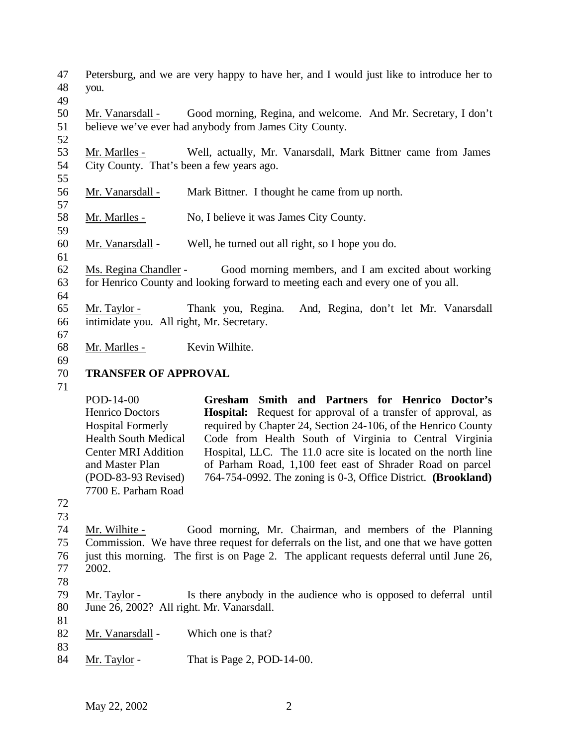- Petersburg, and we are very happy to have her, and I would just like to introduce her to you.
- 

 Mr. Vanarsdall - Good morning, Regina, and welcome. And Mr. Secretary, I don't believe we've ever had anybody from James City County.

 Mr. Marlles - Well, actually, Mr. Vanarsdall, Mark Bittner came from James City County. That's been a few years ago.

- Mr. Vanarsdall Mark Bittner. I thought he came from up north.
- Mr. Marlles No, I believe it was James City County.

Mr. Vanarsdall - Well, he turned out all right, so I hope you do.

- Ms. Regina Chandler Good morning members, and I am excited about working for Henrico County and looking forward to meeting each and every one of you all.
- 
- Mr. Taylor Thank you, Regina. And, Regina, don't let Mr. Vanarsdall intimidate you. All right, Mr. Secretary.
- 

Mr. Marlles - Kevin Wilhite.

## **TRANSFER OF APPROVAL**

POD-14-00 Henrico Doctors Hospital Formerly Health South Medical Center MRI Addition and Master Plan (POD-83-93 Revised) 7700 E. Parham Road **Gresham Smith and Partners for Henrico Doctor's Hospital:** Request for approval of a transfer of approval, as required by Chapter 24, Section 24-106, of the Henrico County Code from Health South of Virginia to Central Virginia Hospital, LLC. The 11.0 acre site is located on the north line of Parham Road, 1,100 feet east of Shrader Road on parcel 764-754-0992. The zoning is 0-3, Office District. **(Brookland)**

- 
- Mr. Wilhite Good morning, Mr. Chairman, and members of the Planning Commission. We have three request for deferrals on the list, and one that we have gotten just this morning. The first is on Page 2. The applicant requests deferral until June 26, 2002.
- 
- Mr. Taylor Is there anybody in the audience who is opposed to deferral until June 26, 2002? All right. Mr. Vanarsdall.
- 82 Mr. Vanarsdall Which one is that?
- 

84 Mr. Taylor - That is Page 2, POD-14-00.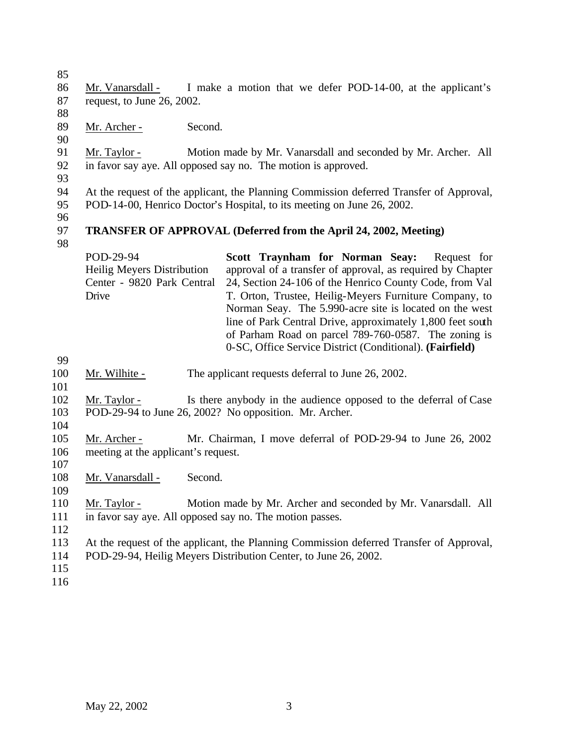Mr. Vanarsdall - I make a motion that we defer POD-14-00, at the applicant's request, to June 26, 2002. Mr. Archer - Second. Mr. Taylor - Motion made by Mr. Vanarsdall and seconded by Mr. Archer. All in favor say aye. All opposed say no. The motion is approved. At the request of the applicant, the Planning Commission deferred Transfer of Approval, POD-14-00, Henrico Doctor's Hospital, to its meeting on June 26, 2002. **TRANSFER OF APPROVAL (Deferred from the April 24, 2002, Meeting)** POD-29-94 Heilig Meyers Distribution Center - 9820 Park Central Drive **Scott Traynham for Norman Seay:** Request for approval of a transfer of approval, as required by Chapter 24, Section 24-106 of the Henrico County Code, from Val T. Orton, Trustee, Heilig-Meyers Furniture Company, to Norman Seay. The 5.990-acre site is located on the west line of Park Central Drive, approximately 1,800 feet south of Parham Road on parcel 789-760-0587. The zoning is 0-SC, Office Service District (Conditional). **(Fairfield)** 100 Mr. Wilhite - The applicant requests deferral to June 26, 2002. Mr. Taylor - Is there anybody in the audience opposed to the deferral of Case POD-29-94 to June 26, 2002? No opposition. Mr. Archer. Mr. Archer - Mr. Chairman, I move deferral of POD-29-94 to June 26, 2002 meeting at the applicant's request. 108 Mr. Vanarsdall - Second. Mr. Taylor - Motion made by Mr. Archer and seconded by Mr. Vanarsdall. All in favor say aye. All opposed say no. The motion passes. At the request of the applicant, the Planning Commission deferred Transfer of Approval, POD-29-94, Heilig Meyers Distribution Center, to June 26, 2002.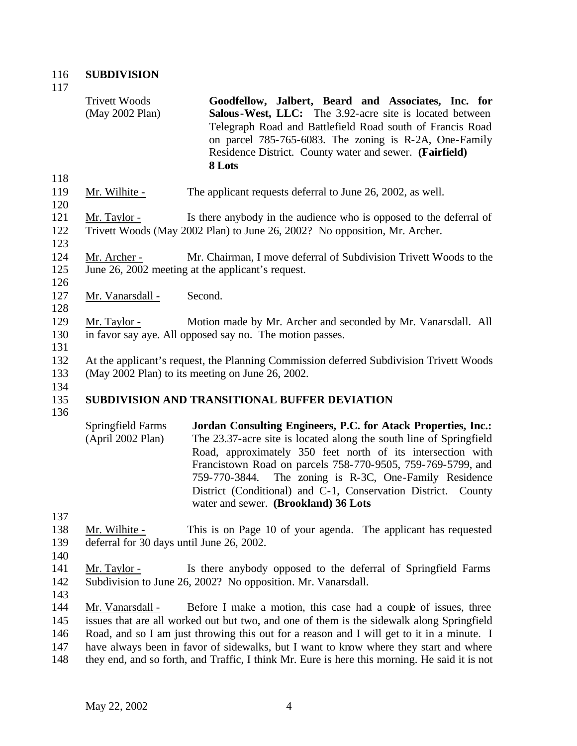117

118

120

123

Trivett Woods (May 2002 Plan) **Goodfellow, Jalbert, Beard and Associates, Inc. for Salous-West, LLC:** The 3.92-acre site is located between Telegraph Road and Battlefield Road south of Francis Road on parcel 785-765-6083. The zoning is R-2A, One-Family Residence District. County water and sewer. **(Fairfield) 8 Lots**

119 Mr. Wilhite - The applicant requests deferral to June 26, 2002, as well.

121 Mr. Taylor - Is there anybody in the audience who is opposed to the deferral of 122 Trivett Woods (May 2002 Plan) to June 26, 2002? No opposition, Mr. Archer.

- 124 Mr. Archer Mr. Chairman, I move deferral of Subdivision Trivett Woods to the 125 June 26, 2002 meeting at the applicant's request.
- 126

128

- 127 Mr. Vanarsdall Second.
- 129 Mr. Taylor Motion made by Mr. Archer and seconded by Mr. Vanarsdall. All 130 in favor say aye. All opposed say no. The motion passes.
- 131

132 At the applicant's request, the Planning Commission deferred Subdivision Trivett Woods

133 (May 2002 Plan) to its meeting on June 26, 2002.

## 135 **SUBDIVISION AND TRANSITIONAL BUFFER DEVIATION**

136

134

- Springfield Farms (April 2002 Plan) **Jordan Consulting Engineers, P.C. for Atack Properties, Inc.:** The 23.37-acre site is located along the south line of Springfield Road, approximately 350 feet north of its intersection with Francistown Road on parcels 758-770-9505, 759-769-5799, and 759-770-3844. The zoning is R-3C, One-Family Residence District (Conditional) and C-1, Conservation District. County water and sewer. **(Brookland) 36 Lots**
- 137
- 138 Mr. Wilhite This is on Page 10 of your agenda. The applicant has requested 139 deferral for 30 days until June 26, 2002.
- 140 141 Mr. Taylor - Is there anybody opposed to the deferral of Springfield Farms
- 142 Subdivision to June 26, 2002? No opposition. Mr. Vanarsdall.
- 143

 Mr. Vanarsdall - Before I make a motion, this case had a couple of issues, three issues that are all worked out but two, and one of them is the sidewalk along Springfield Road, and so I am just throwing this out for a reason and I will get to it in a minute. I have always been in favor of sidewalks, but I want to know where they start and where they end, and so forth, and Traffic, I think Mr. Eure is here this morning. He said it is not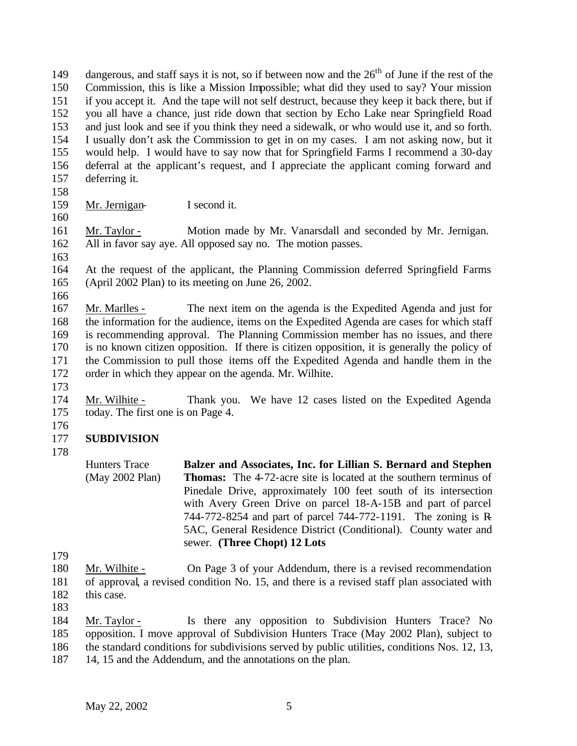149 dangerous, and staff says it is not, so if between now and the  $26<sup>th</sup>$  of June if the rest of the Commission, this is like a Mission Impossible; what did they used to say? Your mission if you accept it. And the tape will not self destruct, because they keep it back there, but if you all have a chance, just ride down that section by Echo Lake near Springfield Road and just look and see if you think they need a sidewalk, or who would use it, and so forth. I usually don't ask the Commission to get in on my cases. I am not asking now, but it would help. I would have to say now that for Springfield Farms I recommend a 30-day deferral at the applicant's request, and I appreciate the applicant coming forward and deferring it.

- 
- Mr. Jernigan- I second it.
- 

 Mr. Taylor - Motion made by Mr. Vanarsdall and seconded by Mr. Jernigan. All in favor say aye. All opposed say no. The motion passes.

 At the request of the applicant, the Planning Commission deferred Springfield Farms (April 2002 Plan) to its meeting on June 26, 2002.

 Mr. Marlles - The next item on the agenda is the Expedited Agenda and just for the information for the audience, items on the Expedited Agenda are cases for which staff is recommending approval. The Planning Commission member has no issues, and there is no known citizen opposition. If there is citizen opposition, it is generally the policy of the Commission to pull those items off the Expedited Agenda and handle them in the order in which they appear on the agenda. Mr. Wilhite.

 Mr. Wilhite - Thank you. We have 12 cases listed on the Expedited Agenda today. The first one is on Page 4.

# **SUBDIVISION**

- 
- Mr. Wilhite On Page 3 of your Addendum, there is a revised recommendation of approval, a revised condition No. 15, and there is a revised staff plan associated with this case.
- 

 Mr. Taylor - Is there any opposition to Subdivision Hunters Trace? No opposition. I move approval of Subdivision Hunters Trace (May 2002 Plan), subject to the standard conditions for subdivisions served by public utilities, conditions Nos. 12, 13,

14, 15 and the Addendum, and the annotations on the plan.

Hunters Trace (May 2002 Plan) **Balzer and Associates, Inc. for Lillian S. Bernard and Stephen Thomas:** The 4-72-acre site is located at the southern terminus of Pinedale Drive, approximately 100 feet south of its intersection with Avery Green Drive on parcel 18-A-15B and part of parcel 744-772-8254 and part of parcel 744-772-1191. The zoning is R-5AC, General Residence District (Conditional). County water and sewer. **(Three Chopt) 12 Lots**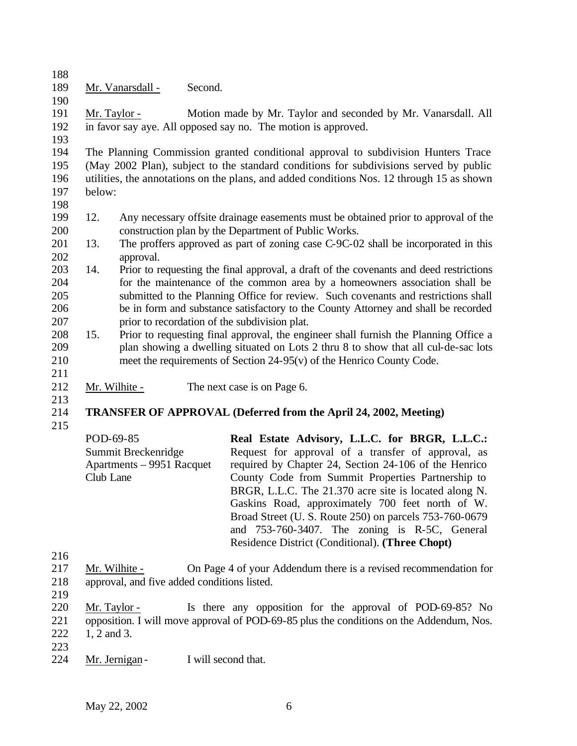- 
- 189 Mr. Vanarsdall Second.

 Mr. Taylor - Motion made by Mr. Taylor and seconded by Mr. Vanarsdall. All in favor say aye. All opposed say no. The motion is approved.

 The Planning Commission granted conditional approval to subdivision Hunters Trace (May 2002 Plan), subject to the standard conditions for subdivisions served by public utilities, the annotations on the plans, and added conditions Nos. 12 through 15 as shown below:

 12. Any necessary offsite drainage easements must be obtained prior to approval of the construction plan by the Department of Public Works.

- 13. The proffers approved as part of zoning case C-9C-02 shall be incorporated in this approval.
- 14. Prior to requesting the final approval, a draft of the covenants and deed restrictions for the maintenance of the common area by a homeowners association shall be submitted to the Planning Office for review. Such covenants and restrictions shall be in form and substance satisfactory to the County Attorney and shall be recorded prior to recordation of the subdivision plat.
- 15. Prior to requesting final approval, the engineer shall furnish the Planning Office a plan showing a dwelling situated on Lots 2 thru 8 to show that all cul-de-sac lots meet the requirements of Section 24-95(v) of the Henrico County Code.
- 
- 212 Mr. Wilhite The next case is on Page 6.

## **TRANSFER OF APPROVAL (Deferred from the April 24, 2002, Meeting)**

POD-69-85 Summit Breckenridge Apartments – 9951 Racquet Club Lane **Real Estate Advisory, L.L.C. for BRGR, L.L.C.:** Request for approval of a transfer of approval, as required by Chapter 24, Section 24-106 of the Henrico County Code from Summit Properties Partnership to BRGR, L.L.C. The 21.370 acre site is located along N. Gaskins Road, approximately 700 feet north of W. Broad Street (U. S. Route 250) on parcels 753-760-0679 and 753-760-3407. The zoning is R-5C, General Residence District (Conditional). **(Three Chopt)**

- Mr. Wilhite - On Page 4 of your Addendum there is a revised recommendation for approval, and five added conditions listed.
- 

Mr. Taylor - Is there any opposition for the approval of POD-69-85? No

opposition. I will move approval of POD-69-85 plus the conditions on the Addendum, Nos.

- 222 1, 2 and 3.
- 
- Mr. Jernigan- I will second that.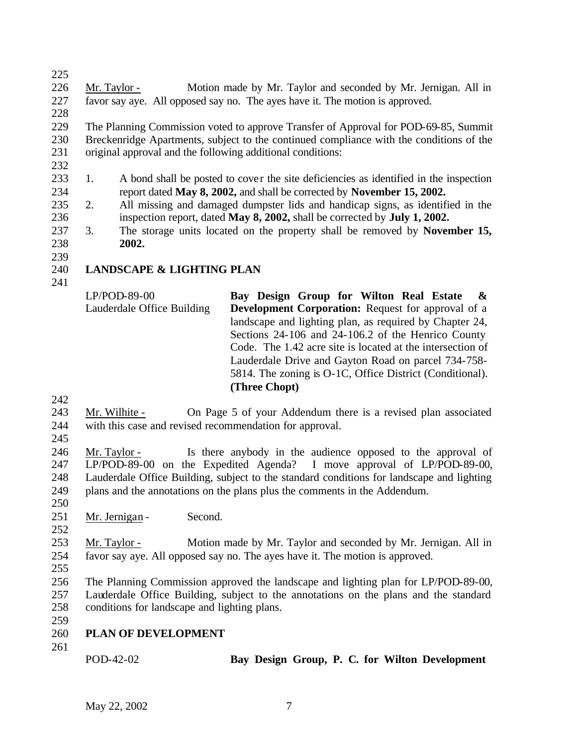Mr. Taylor - Motion made by Mr. Taylor and seconded by Mr. Jernigan. All in favor say aye. All opposed say no. The ayes have it. The motion is approved.

 The Planning Commission voted to approve Transfer of Approval for POD-69-85, Summit Breckenridge Apartments, subject to the continued compliance with the conditions of the original approval and the following additional conditions:

- 1. A bond shall be posted to cover the site deficiencies as identified in the inspection report dated **May 8, 2002,** and shall be corrected by **November 15, 2002.**
- 2. All missing and damaged dumpster lids and handicap signs, as identified in the inspection report, dated **May 8, 2002,** shall be corrected by **July 1, 2002.**
- 3. The storage units located on the property shall be removed by **November 15, 2002.**
- **LANDSCAPE & LIGHTING PLAN**
- 

LP/POD-89-00 Lauderdale Office Building **Bay Design Group for Wilton Real Estate & Development Corporation:** Request for approval of a landscape and lighting plan, as required by Chapter 24, Sections 24-106 and 24-106.2 of the Henrico County Code. The 1.42 acre site is located at the intersection of Lauderdale Drive and Gayton Road on parcel 734-758- 5814. The zoning is O-1C, Office District (Conditional). **(Three Chopt)**

- Mr. Wilhite On Page 5 of your Addendum there is a revised plan associated with this case and revised recommendation for approval.
- 

 Mr. Taylor - Is there anybody in the audience opposed to the approval of LP/POD-89-00 on the Expedited Agenda? I move approval of LP/POD-89-00, Lauderdale Office Building, subject to the standard conditions for landscape and lighting plans and the annotations on the plans plus the comments in the Addendum.

- 
- 251 Mr. Jernigan Second.
- 

 Mr. Taylor - Motion made by Mr. Taylor and seconded by Mr. Jernigan. All in favor say aye. All opposed say no. The ayes have it. The motion is approved.

 The Planning Commission approved the landscape and lighting plan for LP/POD-89-00, Lauderdale Office Building, subject to the annotations on the plans and the standard conditions for landscape and lighting plans.

- **PLAN OF DEVELOPMENT**
- 

POD-42-02 **Bay Design Group, P. C. for Wilton Development**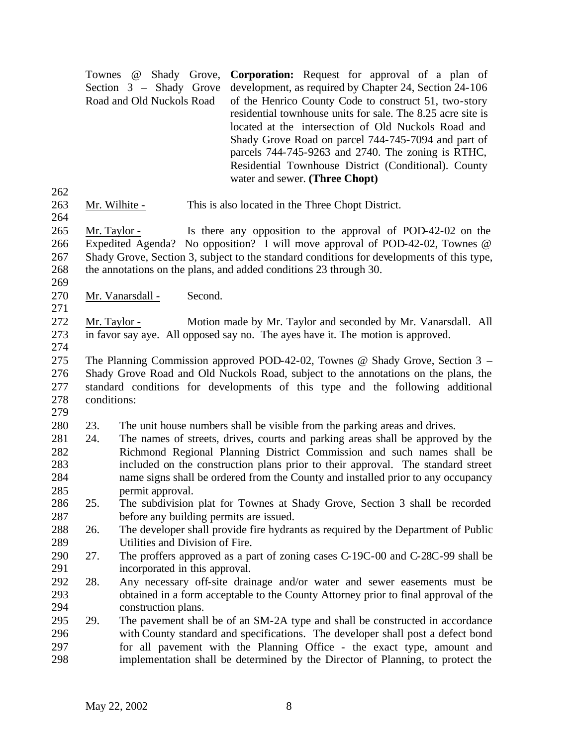|                                 |               | <b>Corporation:</b> Request for approval of a plan of<br>Townes @ Shady Grove,<br>development, as required by Chapter 24, Section 24-106<br>Section 3 - Shady Grove<br>Road and Old Nuckols Road<br>of the Henrico County Code to construct 51, two-story<br>residential townhouse units for sale. The 8.25 acre site is<br>located at the intersection of Old Nuckols Road and<br>Shady Grove Road on parcel 744-745-7094 and part of<br>parcels 744-745-9263 and 2740. The zoning is RTHC,<br>Residential Townhouse District (Conditional). County<br>water and sewer. (Three Chopt) |
|---------------------------------|---------------|----------------------------------------------------------------------------------------------------------------------------------------------------------------------------------------------------------------------------------------------------------------------------------------------------------------------------------------------------------------------------------------------------------------------------------------------------------------------------------------------------------------------------------------------------------------------------------------|
| 262<br>263<br>264               | Mr. Wilhite - | This is also located in the Three Chopt District.                                                                                                                                                                                                                                                                                                                                                                                                                                                                                                                                      |
| 265<br>266<br>267<br>268<br>269 | Mr. Taylor -  | Is there any opposition to the approval of POD-42-02 on the<br>Expedited Agenda? No opposition? I will move approval of POD-42-02, Townes @<br>Shady Grove, Section 3, subject to the standard conditions for developments of this type,<br>the annotations on the plans, and added conditions 23 through 30.                                                                                                                                                                                                                                                                          |
| 270                             |               | Second.<br>Mr. Vanarsdall -                                                                                                                                                                                                                                                                                                                                                                                                                                                                                                                                                            |
| 271<br>272<br>273<br>274        | Mr. Taylor -  | Motion made by Mr. Taylor and seconded by Mr. Vanarsdall. All<br>in favor say aye. All opposed say no. The ayes have it. The motion is approved.                                                                                                                                                                                                                                                                                                                                                                                                                                       |
| 275<br>276<br>277<br>278<br>279 | conditions:   | The Planning Commission approved POD-42-02, Townes @ Shady Grove, Section $3 -$<br>Shady Grove Road and Old Nuckols Road, subject to the annotations on the plans, the<br>standard conditions for developments of this type and the following additional                                                                                                                                                                                                                                                                                                                               |
| 280                             | 23.           | The unit house numbers shall be visible from the parking areas and drives.                                                                                                                                                                                                                                                                                                                                                                                                                                                                                                             |
| 281<br>282<br>283<br>284<br>285 | 24.           | The names of streets, drives, courts and parking areas shall be approved by the<br>Richmond Regional Planning District Commission and such names shall be<br>included on the construction plans prior to their approval. The standard street<br>name signs shall be ordered from the County and installed prior to any occupancy<br>permit approval.                                                                                                                                                                                                                                   |
| 286                             | 25.           | The subdivision plat for Townes at Shady Grove, Section 3 shall be recorded                                                                                                                                                                                                                                                                                                                                                                                                                                                                                                            |
| 287                             |               | before any building permits are issued.                                                                                                                                                                                                                                                                                                                                                                                                                                                                                                                                                |
| 288                             | 26.           | The developer shall provide fire hydrants as required by the Department of Public                                                                                                                                                                                                                                                                                                                                                                                                                                                                                                      |
| 289                             |               | Utilities and Division of Fire.                                                                                                                                                                                                                                                                                                                                                                                                                                                                                                                                                        |
| 290<br>291                      | 27.           | The proffers approved as a part of zoning cases C-19C-00 and C-28C-99 shall be<br>incorporated in this approval.                                                                                                                                                                                                                                                                                                                                                                                                                                                                       |
| 292                             | 28.           | Any necessary off-site drainage and/or water and sewer easements must be                                                                                                                                                                                                                                                                                                                                                                                                                                                                                                               |
| 293                             |               | obtained in a form acceptable to the County Attorney prior to final approval of the                                                                                                                                                                                                                                                                                                                                                                                                                                                                                                    |
| 294                             |               | construction plans.                                                                                                                                                                                                                                                                                                                                                                                                                                                                                                                                                                    |
| 295                             | 29.           | The pavement shall be of an SM-2A type and shall be constructed in accordance                                                                                                                                                                                                                                                                                                                                                                                                                                                                                                          |
| 296                             |               | with County standard and specifications. The developer shall post a defect bond                                                                                                                                                                                                                                                                                                                                                                                                                                                                                                        |
| 297                             |               | for all pavement with the Planning Office - the exact type, amount and                                                                                                                                                                                                                                                                                                                                                                                                                                                                                                                 |
| 298                             |               | implementation shall be determined by the Director of Planning, to protect the                                                                                                                                                                                                                                                                                                                                                                                                                                                                                                         |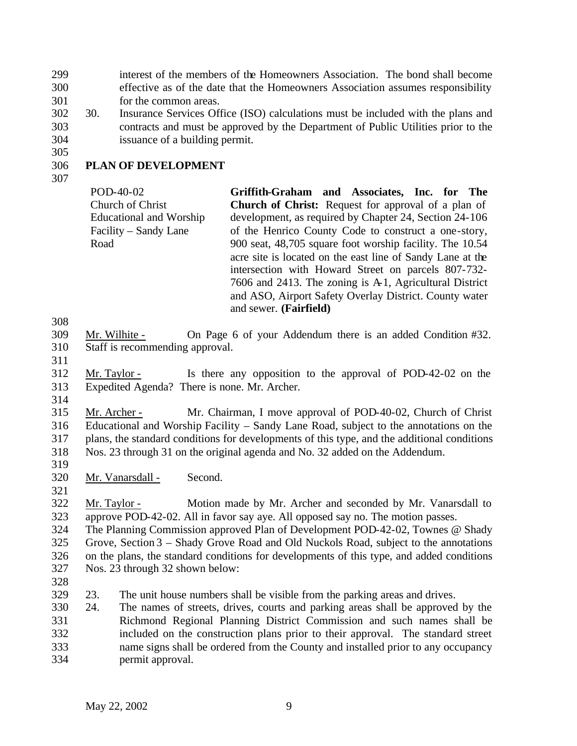interest of the members of the Homeowners Association. The bond shall become effective as of the date that the Homeowners Association assumes responsibility for the common areas.

- 30. Insurance Services Office (ISO) calculations must be included with the plans and contracts and must be approved by the Department of Public Utilities prior to the issuance of a building permit.
- **PLAN OF DEVELOPMENT**
- 

POD-40-02 Church of Christ Educational and Worship Facility – Sandy Lane Road **Griffith-Graham and Associates, Inc. for The Church of Christ:** Request for approval of a plan of development, as required by Chapter 24, Section 24-106 of the Henrico County Code to construct a one-story, 900 seat, 48,705 square foot worship facility. The 10.54 acre site is located on the east line of Sandy Lane at the intersection with Howard Street on parcels 807-732- 7606 and 2413. The zoning is A-1, Agricultural District and ASO, Airport Safety Overlay District. County water and sewer. **(Fairfield)**

- Mr. Wilhite On Page 6 of your Addendum there is an added Condition #32. Staff is recommending approval.
- 

 Mr. Taylor - Is there any opposition to the approval of POD-42-02 on the Expedited Agenda? There is none. Mr. Archer.

 Mr. Archer - Mr. Chairman, I move approval of POD-40-02, Church of Christ Educational and Worship Facility – Sandy Lane Road, subject to the annotations on the plans, the standard conditions for developments of this type, and the additional conditions Nos. 23 through 31 on the original agenda and No. 32 added on the Addendum.

- 319<br>320 Mr. Vanarsdall - Second.
- 

 Mr. Taylor - Motion made by Mr. Archer and seconded by Mr. Vanarsdall to approve POD-42-02. All in favor say aye. All opposed say no. The motion passes.

 The Planning Commission approved Plan of Development POD-42-02, Townes @ Shady Grove, Section 3 – Shady Grove Road and Old Nuckols Road, subject to the annotations on the plans, the standard conditions for developments of this type, and added conditions Nos. 23 through 32 shown below:

23. The unit house numbers shall be visible from the parking areas and drives.

 24. The names of streets, drives, courts and parking areas shall be approved by the Richmond Regional Planning District Commission and such names shall be included on the construction plans prior to their approval. The standard street name signs shall be ordered from the County and installed prior to any occupancy permit approval.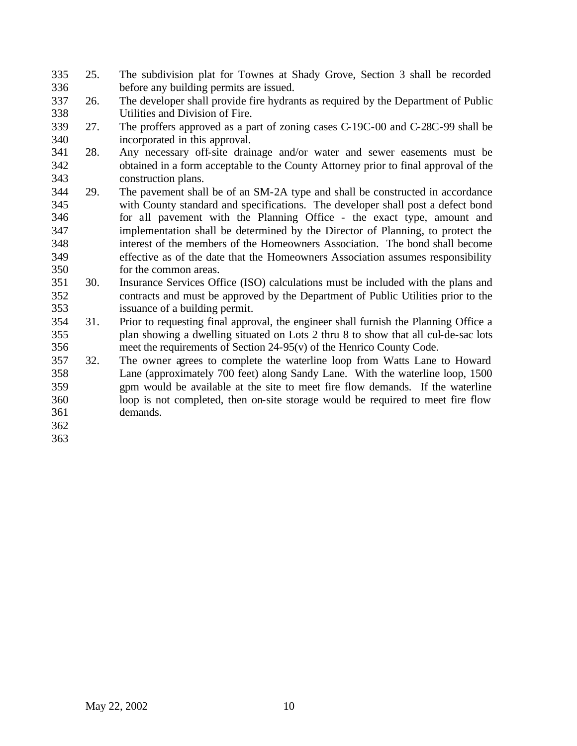- 25. The subdivision plat for Townes at Shady Grove, Section 3 shall be recorded before any building permits are issued.
- 26. The developer shall provide fire hydrants as required by the Department of Public Utilities and Division of Fire.
- 27. The proffers approved as a part of zoning cases C-19C-00 and C-28C-99 shall be incorporated in this approval.
- 28. Any necessary off-site drainage and/or water and sewer easements must be obtained in a form acceptable to the County Attorney prior to final approval of the construction plans.
- 29. The pavement shall be of an SM-2A type and shall be constructed in accordance with County standard and specifications. The developer shall post a defect bond for all pavement with the Planning Office - the exact type, amount and implementation shall be determined by the Director of Planning, to protect the interest of the members of the Homeowners Association. The bond shall become effective as of the date that the Homeowners Association assumes responsibility for the common areas.
- 30. Insurance Services Office (ISO) calculations must be included with the plans and contracts and must be approved by the Department of Public Utilities prior to the issuance of a building permit.
- 31. Prior to requesting final approval, the engineer shall furnish the Planning Office a plan showing a dwelling situated on Lots 2 thru 8 to show that all cul-de-sac lots meet the requirements of Section 24-95(v) of the Henrico County Code.
- 32. The owner agrees to complete the waterline loop from Watts Lane to Howard Lane (approximately 700 feet) along Sandy Lane. With the waterline loop, 1500 gpm would be available at the site to meet fire flow demands. If the waterline loop is not completed, then on-site storage would be required to meet fire flow demands.
- 

May 22, 2002 10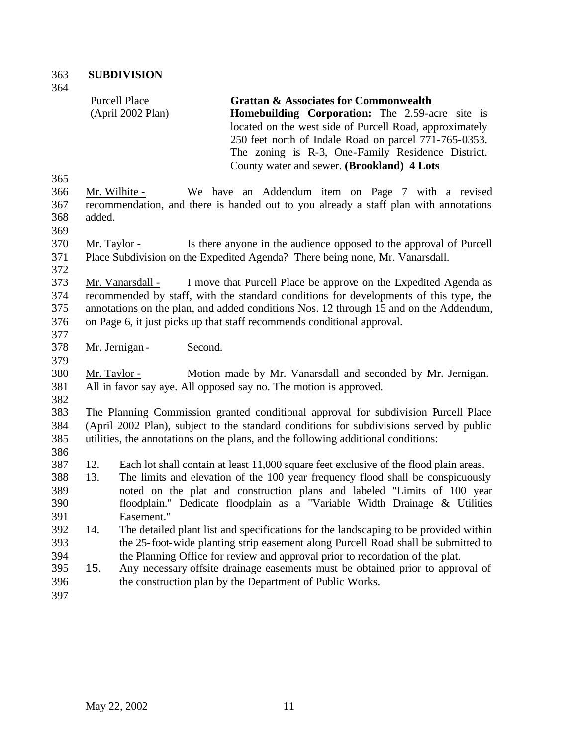|            |                     | <b>Purcell Place</b><br>(April 2002 Plan) | <b>Grattan &amp; Associates for Commonwealth</b><br><b>Homebuilding Corporation:</b> The 2.59-acre site is<br>located on the west side of Purcell Road, approximately<br>250 feet north of Indale Road on parcel 771-765-0353.<br>The zoning is R-3, One-Family Residence District.<br>County water and sewer. (Brookland) 4 Lots |
|------------|---------------------|-------------------------------------------|-----------------------------------------------------------------------------------------------------------------------------------------------------------------------------------------------------------------------------------------------------------------------------------------------------------------------------------|
| 365        |                     |                                           |                                                                                                                                                                                                                                                                                                                                   |
| 366        |                     | Mr. Wilhite -                             | We have an Addendum item on Page 7 with a revised                                                                                                                                                                                                                                                                                 |
| 367        |                     |                                           | recommendation, and there is handed out to you already a staff plan with annotations                                                                                                                                                                                                                                              |
| 368        | added.              |                                           |                                                                                                                                                                                                                                                                                                                                   |
| 369        |                     |                                           |                                                                                                                                                                                                                                                                                                                                   |
| 370        | <u>Mr. Taylor -</u> |                                           | Is there anyone in the audience opposed to the approval of Purcell                                                                                                                                                                                                                                                                |
| 371<br>372 |                     |                                           | Place Subdivision on the Expedited Agenda? There being none, Mr. Vanarsdall.                                                                                                                                                                                                                                                      |
| 373        |                     | Mr. Vanarsdall -                          | I move that Purcell Place be approve on the Expedited Agenda as                                                                                                                                                                                                                                                                   |
| 374        |                     |                                           | recommended by staff, with the standard conditions for developments of this type, the                                                                                                                                                                                                                                             |
| 375        |                     |                                           | annotations on the plan, and added conditions Nos. 12 through 15 and on the Addendum,                                                                                                                                                                                                                                             |
| 376        |                     |                                           | on Page 6, it just picks up that staff recommends conditional approval.                                                                                                                                                                                                                                                           |
| 377        |                     |                                           |                                                                                                                                                                                                                                                                                                                                   |
| 378        |                     | Second.<br>Mr. Jernigan -                 |                                                                                                                                                                                                                                                                                                                                   |
| 379        |                     |                                           |                                                                                                                                                                                                                                                                                                                                   |
| 380        | Mr. Taylor -        |                                           | Motion made by Mr. Vanarsdall and seconded by Mr. Jernigan.                                                                                                                                                                                                                                                                       |
| 381        |                     |                                           | All in favor say aye. All opposed say no. The motion is approved.                                                                                                                                                                                                                                                                 |
| 382        |                     |                                           |                                                                                                                                                                                                                                                                                                                                   |
| 383        |                     |                                           | The Planning Commission granted conditional approval for subdivision Purcell Place                                                                                                                                                                                                                                                |
| 384        |                     |                                           | (April 2002 Plan), subject to the standard conditions for subdivisions served by public                                                                                                                                                                                                                                           |
| 385        |                     |                                           | utilities, the annotations on the plans, and the following additional conditions:                                                                                                                                                                                                                                                 |
| 386        |                     |                                           |                                                                                                                                                                                                                                                                                                                                   |
| 387<br>388 | 12.<br>13.          |                                           | Each lot shall contain at least 11,000 square feet exclusive of the flood plain areas.<br>The limits and elevation of the 100 year frequency flood shall be conspicuously                                                                                                                                                         |
| 389        |                     |                                           | noted on the plat and construction plans and labeled "Limits of 100 year                                                                                                                                                                                                                                                          |
| 390        |                     |                                           | floodplain." Dedicate floodplain as a "Variable Width Drainage & Utilities                                                                                                                                                                                                                                                        |
| 391        |                     | Easement."                                |                                                                                                                                                                                                                                                                                                                                   |
| 392        | 14.                 |                                           | The detailed plant list and specifications for the landscaping to be provided within                                                                                                                                                                                                                                              |
| 393        |                     |                                           | the 25-foot-wide planting strip easement along Purcell Road shall be submitted to                                                                                                                                                                                                                                                 |
| 394        |                     |                                           | the Planning Office for review and approval prior to recordation of the plat.                                                                                                                                                                                                                                                     |
| 395        | 15.                 |                                           | Any necessary offsite drainage easements must be obtained prior to approval of                                                                                                                                                                                                                                                    |
| 396        |                     |                                           | the construction plan by the Department of Public Works.                                                                                                                                                                                                                                                                          |
| 397        |                     |                                           |                                                                                                                                                                                                                                                                                                                                   |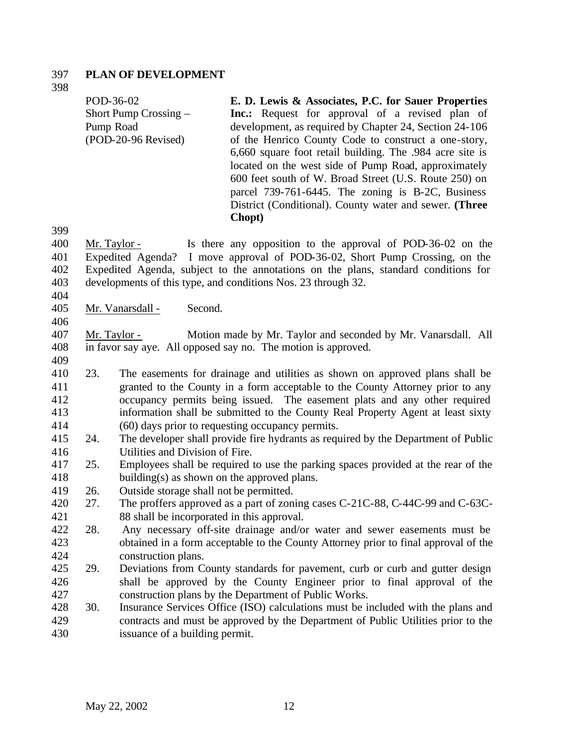### **PLAN OF DEVELOPMENT**

POD-36-02 Short Pump Crossing – Pump Road (POD-20-96 Revised) **E. D. Lewis & Associates, P.C. for Sauer Properties**  Inc.: Request for approval of a revised plan of development, as required by Chapter 24, Section 24-106 of the Henrico County Code to construct a one-story, 6,660 square foot retail building. The .984 acre site is located on the west side of Pump Road, approximately 600 feet south of W. Broad Street (U.S. Route 250) on parcel 739-761-6445. The zoning is B-2C, Business District (Conditional). County water and sewer. **(Three** 

 Mr. Taylor - Is there any opposition to the approval of POD-36-02 on the Expedited Agenda? I move approval of POD-36-02, Short Pump Crossing, on the Expedited Agenda, subject to the annotations on the plans, standard conditions for developments of this type, and conditions Nos. 23 through 32.

**Chopt)**

Mr. Vanarsdall - Second.

 Mr. Taylor - Motion made by Mr. Taylor and seconded by Mr. Vanarsdall. All in favor say aye. All opposed say no. The motion is approved.

 23. The easements for drainage and utilities as shown on approved plans shall be granted to the County in a form acceptable to the County Attorney prior to any occupancy permits being issued. The easement plats and any other required information shall be submitted to the County Real Property Agent at least sixty (60) days prior to requesting occupancy permits.

- 24. The developer shall provide fire hydrants as required by the Department of Public Utilities and Division of Fire.
- 25. Employees shall be required to use the parking spaces provided at the rear of the building(s) as shown on the approved plans.
- 26. Outside storage shall not be permitted.
- 27. The proffers approved as a part of zoning cases C-21C-88, C-44C-99 and C-63C-88 shall be incorporated in this approval.
- 28. Any necessary off-site drainage and/or water and sewer easements must be obtained in a form acceptable to the County Attorney prior to final approval of the construction plans.
- 29. Deviations from County standards for pavement, curb or curb and gutter design shall be approved by the County Engineer prior to final approval of the construction plans by the Department of Public Works.
- 30. Insurance Services Office (ISO) calculations must be included with the plans and contracts and must be approved by the Department of Public Utilities prior to the issuance of a building permit.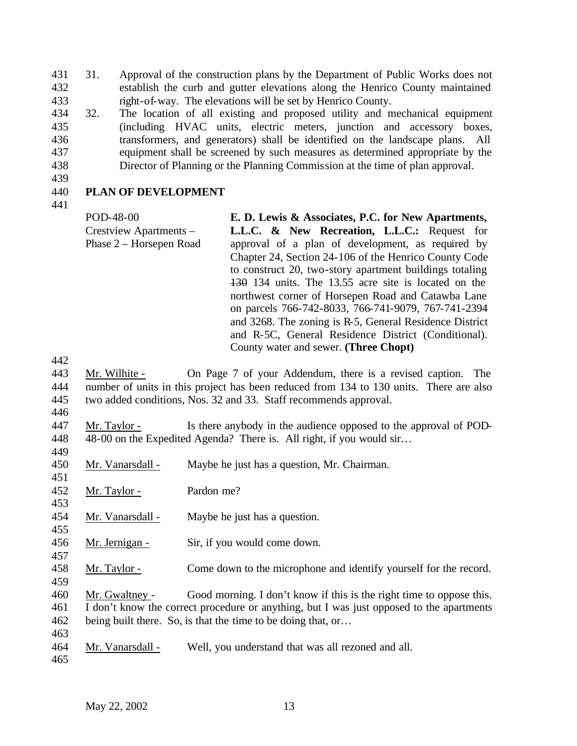- 31. Approval of the construction plans by the Department of Public Works does not establish the curb and gutter elevations along the Henrico County maintained right-of-way. The elevations will be set by Henrico County.
- 32. The location of all existing and proposed utility and mechanical equipment (including HVAC units, electric meters, junction and accessory boxes, transformers, and generators) shall be identified on the landscape plans. All
- equipment shall be screened by such measures as determined appropriate by the
- Director of Planning or the Planning Commission at the time of plan approval.
- 

# **PLAN OF DEVELOPMENT**

POD-48-00 Crestview Apartments – Phase 2 – Horsepen Road **E. D. Lewis & Associates, P.C. for New Apartments, L.L.C. & New Recreation, L.L.C.:** Request for approval of a plan of development, as required by Chapter 24, Section 24-106 of the Henrico County Code to construct 20, two-story apartment buildings totaling 130 134 units. The 13.55 acre site is located on the northwest corner of Horsepen Road and Catawba Lane on parcels 766-742-8033, 766-741-9079, 767-741-2394 and 3268. The zoning is R-5, General Residence District and R-5C, General Residence District (Conditional). County water and sewer. **(Three Chopt)**

- Mr. Wilhite On Page 7 of your Addendum, there is a revised caption. The number of units in this project has been reduced from 134 to 130 units. There are also two added conditions, Nos. 32 and 33. Staff recommends approval.
- 

 Mr. Taylor - Is there anybody in the audience opposed to the approval of POD-448 48-00 on the Expedited Agenda? There is. All right, if you would sir... 

- Mr. Vanarsdall Maybe he just has a question, Mr. Chairman.
- Mr. Taylor Pardon me?
- Mr. Vanarsdall Maybe he just has a question.
- Mr. Jernigan Sir, if you would come down.
- Mr. Taylor Come down to the microphone and identify yourself for the record.

 Mr. Gwaltney - Good morning. I don't know if this is the right time to oppose this. I don't know the correct procedure or anything, but I was just opposed to the apartments being built there. So, is that the time to be doing that, or…

Mr. Vanarsdall - Well, you understand that was all rezoned and all.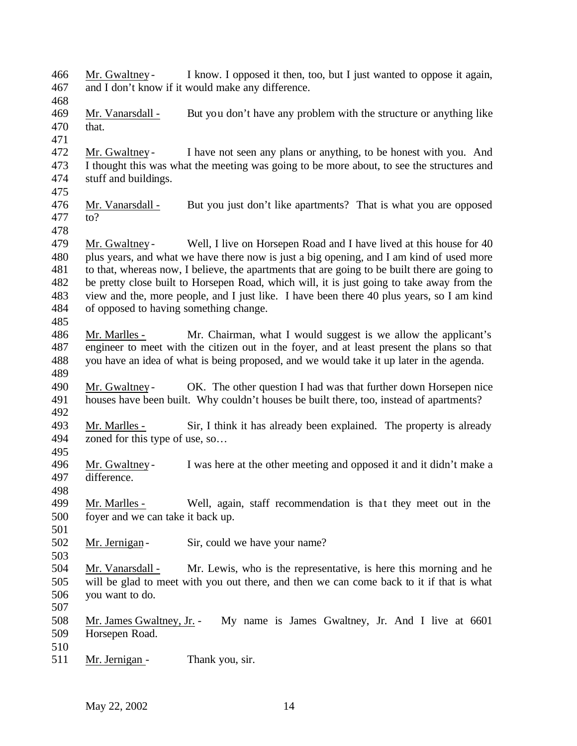Mr. Gwaltney - I know. I opposed it then, too, but I just wanted to oppose it again, and I don't know if it would make any difference. Mr. Vanarsdall - But you don't have any problem with the structure or anything like that. Mr. Gwaltney - I have not seen any plans or anything, to be honest with you. And I thought this was what the meeting was going to be more about, to see the structures and stuff and buildings. Mr. Vanarsdall - But you just don't like apartments? That is what you are opposed to? 479 Mr. Gwaltney - Well, I live on Horsepen Road and I have lived at this house for 40 plus years, and what we have there now is just a big opening, and I am kind of used more to that, whereas now, I believe, the apartments that are going to be built there are going to be pretty close built to Horsepen Road, which will, it is just going to take away from the view and the, more people, and I just like. I have been there 40 plus years, so I am kind of opposed to having something change. Mr. Marlles - Mr. Chairman, what I would suggest is we allow the applicant's engineer to meet with the citizen out in the foyer, and at least present the plans so that you have an idea of what is being proposed, and we would take it up later in the agenda. Mr. Gwaltney - OK. The other question I had was that further down Horsepen nice houses have been built. Why couldn't houses be built there, too, instead of apartments? Mr. Marlles - Sir, I think it has already been explained. The property is already zoned for this type of use, so… 496 Mr. Gwaltney - I was here at the other meeting and opposed it and it didn't make a difference. difference. 499 Mr. Marlles - Well, again, staff recommendation is that they meet out in the foyer and we can take it back up. 502 Mr. Jernigan - Sir, could we have your name? Mr. Vanarsdall - Mr. Lewis, who is the representative, is here this morning and he will be glad to meet with you out there, and then we can come back to it if that is what you want to do. Mr. James Gwaltney, Jr. - My name is James Gwaltney, Jr. And I live at 6601 Horsepen Road. 511 Mr. Jernigan - Thank you, sir.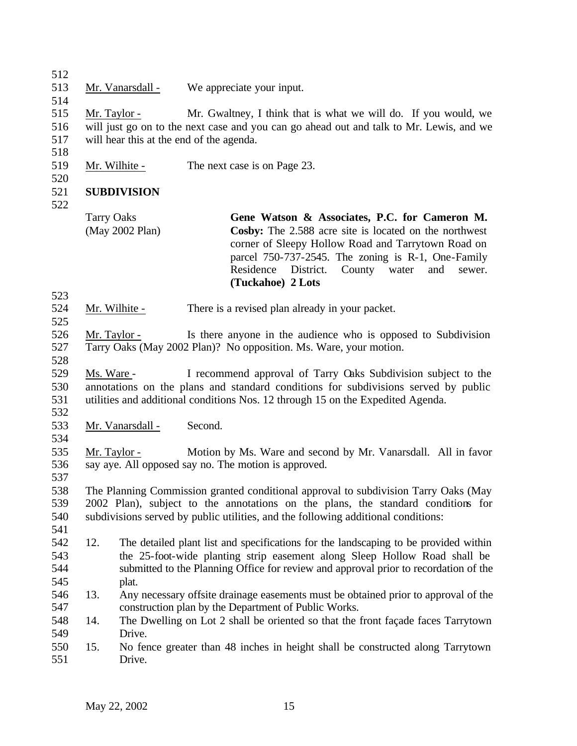Mr. Vanarsdall - We appreciate your input. Mr. Taylor - Mr. Gwaltney, I think that is what we will do. If you would, we will just go on to the next case and you can go ahead out and talk to Mr. Lewis, and we will hear this at the end of the agenda. 519 Mr. Wilhite - The next case is on Page 23. **SUBDIVISION**  

Tarry Oaks (May 2002 Plan) **Gene Watson & Associates, P.C. for Cameron M. Cosby:** The 2.588 acre site is located on the northwest corner of Sleepy Hollow Road and Tarrytown Road on parcel 750-737-2545. The zoning is R-1, One-Family Residence District. County water and sewer. **(Tuckahoe) 2 Lots**

- Mr. Wilhite There is a revised plan already in your packet.
- Mr. Taylor Is there anyone in the audience who is opposed to Subdivision Tarry Oaks (May 2002 Plan)? No opposition. Ms. Ware, your motion.
- Ms. Ware I recommend approval of Tarry Oaks Subdivision subject to the annotations on the plans and standard conditions for subdivisions served by public utilities and additional conditions Nos. 12 through 15 on the Expedited Agenda.
- 

- Mr. Vanarsdall Second.
- 
- 

 Mr. Taylor - Motion by Ms. Ware and second by Mr. Vanarsdall. All in favor say aye. All opposed say no. The motion is approved. 

 The Planning Commission granted conditional approval to subdivision Tarry Oaks (May 2002 Plan), subject to the annotations on the plans, the standard conditions for subdivisions served by public utilities, and the following additional conditions:

- 
- 12. The detailed plant list and specifications for the landscaping to be provided within the 25-foot-wide planting strip easement along Sleep Hollow Road shall be submitted to the Planning Office for review and approval prior to recordation of the plat.
- 13. Any necessary offsite drainage easements must be obtained prior to approval of the construction plan by the Department of Public Works.
- 14. The Dwelling on Lot 2 shall be oriented so that the front façade faces Tarrytown Drive.
- 15. No fence greater than 48 inches in height shall be constructed along Tarrytown Drive.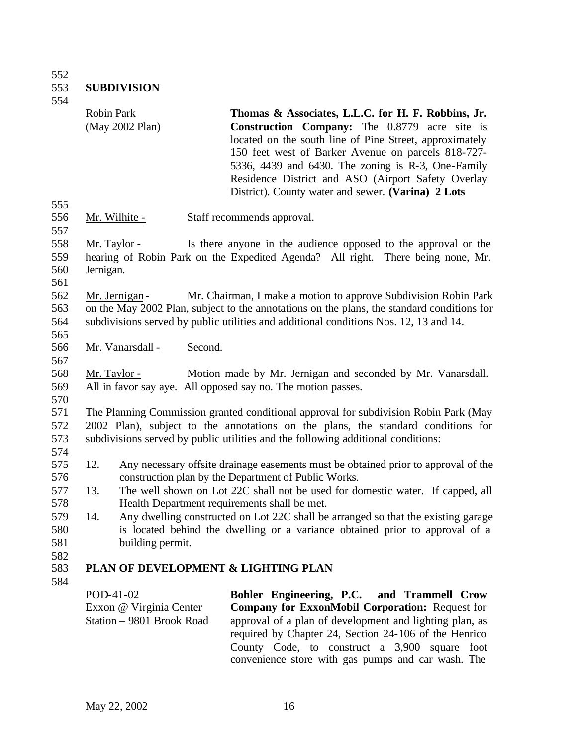552<br>553 **SUBDIVISION** 

554

|                                 |           | <b>Robin Park</b><br>(May 2002 Plan)                              |         | Thomas & Associates, L.L.C. for H. F. Robbins, Jr.<br><b>Construction Company:</b> The 0.8779 acre site is<br>located on the south line of Pine Street, approximately<br>150 feet west of Barker Avenue on parcels 818-727-<br>5336, 4439 and 6430. The zoning is R-3, One-Family<br>Residence District and ASO (Airport Safety Overlay<br>District). County water and sewer. (Varina) 2 Lots |
|---------------------------------|-----------|-------------------------------------------------------------------|---------|-----------------------------------------------------------------------------------------------------------------------------------------------------------------------------------------------------------------------------------------------------------------------------------------------------------------------------------------------------------------------------------------------|
| 555<br>556                      |           | <u>Mr. Wilhite -</u>                                              |         | Staff recommends approval.                                                                                                                                                                                                                                                                                                                                                                    |
| 557<br>558<br>559<br>560<br>561 | Jernigan. | <u>Mr. Taylor -</u>                                               |         | Is there anyone in the audience opposed to the approval or the<br>hearing of Robin Park on the Expedited Agenda? All right. There being none, Mr.                                                                                                                                                                                                                                             |
| 562<br>563<br>564<br>565        |           | Mr. Jernigan -                                                    |         | Mr. Chairman, I make a motion to approve Subdivision Robin Park<br>on the May 2002 Plan, subject to the annotations on the plans, the standard conditions for<br>subdivisions served by public utilities and additional conditions Nos. 12, 13 and 14.                                                                                                                                        |
| 566                             |           | Mr. Vanarsdall -                                                  | Second. |                                                                                                                                                                                                                                                                                                                                                                                               |
| 567<br>568<br>569<br>570        |           | Mr. Taylor -                                                      |         | Motion made by Mr. Jernigan and seconded by Mr. Vanarsdall.<br>All in favor say aye. All opposed say no. The motion passes.                                                                                                                                                                                                                                                                   |
| 571<br>572<br>573               |           |                                                                   |         | The Planning Commission granted conditional approval for subdivision Robin Park (May<br>2002 Plan), subject to the annotations on the plans, the standard conditions for<br>subdivisions served by public utilities and the following additional conditions:                                                                                                                                  |
| 574<br>575<br>576               | 12.       |                                                                   |         | Any necessary offsite drainage easements must be obtained prior to approval of the<br>construction plan by the Department of Public Works.                                                                                                                                                                                                                                                    |
| 577<br>578                      | 13.       |                                                                   |         | The well shown on Lot 22C shall not be used for domestic water. If capped, all<br>Health Department requirements shall be met.                                                                                                                                                                                                                                                                |
| 579<br>580<br>581<br>582        | 14.       | building permit.                                                  |         | Any dwelling constructed on Lot 22C shall be arranged so that the existing garage<br>is located behind the dwelling or a variance obtained prior to approval of a                                                                                                                                                                                                                             |
| 583                             |           |                                                                   |         | PLAN OF DEVELOPMENT & LIGHTING PLAN                                                                                                                                                                                                                                                                                                                                                           |
| 584                             |           | POD-41-02<br>Exxon @ Virginia Center<br>Station - 9801 Brook Road |         | Bohler Engineering, P.C.<br>and Trammell Crow<br><b>Company for ExxonMobil Corporation: Request for</b><br>approval of a plan of development and lighting plan, as<br>required by Chapter 24, Section 24-106 of the Henrico<br>County Code, to construct a 3,900 square foot                                                                                                                  |

convenience store with gas pumps and car wash. The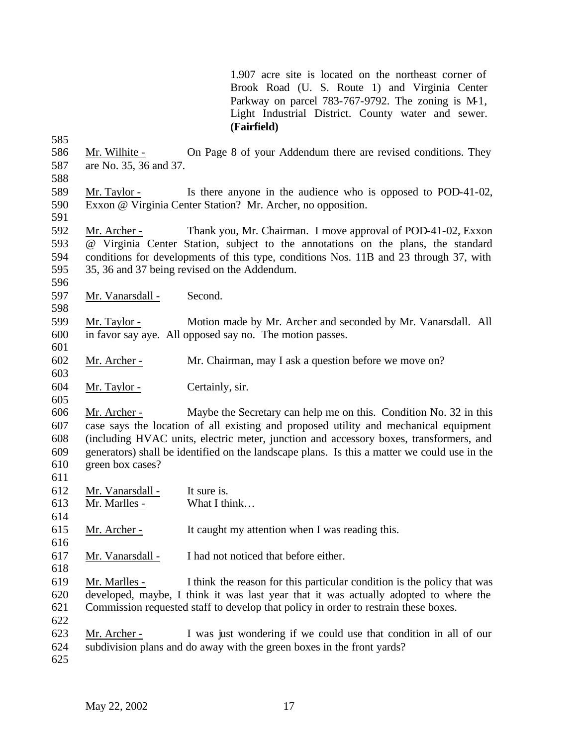1.907 acre site is located on the northeast corner of Brook Road (U. S. Route 1) and Virginia Center Parkway on parcel 783-767-9792. The zoning is M-1, Light Industrial District. County water and sewer. **(Fairfield)**

 Mr. Wilhite - On Page 8 of your Addendum there are revised conditions. They are No. 35, 36 and 37. 

- Mr. Taylor Is there anyone in the audience who is opposed to POD-41-02, Exxon @ Virginia Center Station? Mr. Archer, no opposition.
- 

 Mr. Archer - Thank you, Mr. Chairman. I move approval of POD-41-02, Exxon @ Virginia Center Station, subject to the annotations on the plans, the standard conditions for developments of this type, conditions Nos. 11B and 23 through 37, with 35, 36 and 37 being revised on the Addendum.

Mr. Vanarsdall - Second.

 Mr. Taylor - Motion made by Mr. Archer and seconded by Mr. Vanarsdall. All in favor say aye. All opposed say no. The motion passes. 

Mr. Archer - Mr. Chairman, may I ask a question before we move on?

Mr. Taylor - Certainly, sir.

 Mr. Archer - Maybe the Secretary can help me on this. Condition No. 32 in this case says the location of all existing and proposed utility and mechanical equipment (including HVAC units, electric meter, junction and accessory boxes, transformers, and generators) shall be identified on the landscape plans. Is this a matter we could use in the green box cases?

Mr. Vanarsdall - It sure is.

- Mr. Marlles What I think…
- Mr. Archer - It caught my attention when I was reading this.
- Mr. Vanarsdall I had not noticed that before either.

 Mr. Marlles - I think the reason for this particular condition is the policy that was developed, maybe, I think it was last year that it was actually adopted to where the Commission requested staff to develop that policy in order to restrain these boxes.

- 
- Mr. Archer I was just wondering if we could use that condition in all of our

subdivision plans and do away with the green boxes in the front yards?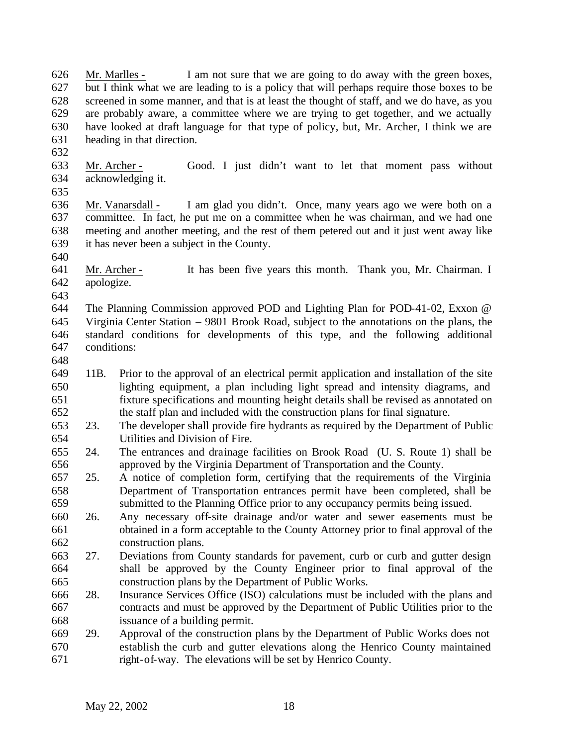Mr. Marlles - I am not sure that we are going to do away with the green boxes, but I think what we are leading to is a policy that will perhaps require those boxes to be screened in some manner, and that is at least the thought of staff, and we do have, as you are probably aware, a committee where we are trying to get together, and we actually have looked at draft language for that type of policy, but, Mr. Archer, I think we are heading in that direction. 

- Mr. Archer Good. I just didn't want to let that moment pass without acknowledging it.
- 

 Mr. Vanarsdall - I am glad you didn't. Once, many years ago we were both on a committee. In fact, he put me on a committee when he was chairman, and we had one meeting and another meeting, and the rest of them petered out and it just went away like it has never been a subject in the County.

 Mr. Archer - It has been five years this month. Thank you, Mr. Chairman. I apologize.

 The Planning Commission approved POD and Lighting Plan for POD-41-02, Exxon @ Virginia Center Station – 9801 Brook Road, subject to the annotations on the plans, the standard conditions for developments of this type, and the following additional conditions:

- 
- 11B. Prior to the approval of an electrical permit application and installation of the site lighting equipment, a plan including light spread and intensity diagrams, and fixture specifications and mounting height details shall be revised as annotated on the staff plan and included with the construction plans for final signature.
- 23. The developer shall provide fire hydrants as required by the Department of Public Utilities and Division of Fire.
- 24. The entrances and drainage facilities on Brook Road (U. S. Route 1) shall be 656 approved by the Virginia Department of Transportation and the County.<br>657 25. A notice of completion form, certifying that the requirements of the
- 25. A notice of completion form, certifying that the requirements of the Virginia Department of Transportation entrances permit have been completed, shall be submitted to the Planning Office prior to any occupancy permits being issued.
- 26. Any necessary off-site drainage and/or water and sewer easements must be obtained in a form acceptable to the County Attorney prior to final approval of the construction plans.
- 27. Deviations from County standards for pavement, curb or curb and gutter design shall be approved by the County Engineer prior to final approval of the construction plans by the Department of Public Works.
- 28. Insurance Services Office (ISO) calculations must be included with the plans and contracts and must be approved by the Department of Public Utilities prior to the issuance of a building permit.
- 29. Approval of the construction plans by the Department of Public Works does not establish the curb and gutter elevations along the Henrico County maintained right-of-way. The elevations will be set by Henrico County.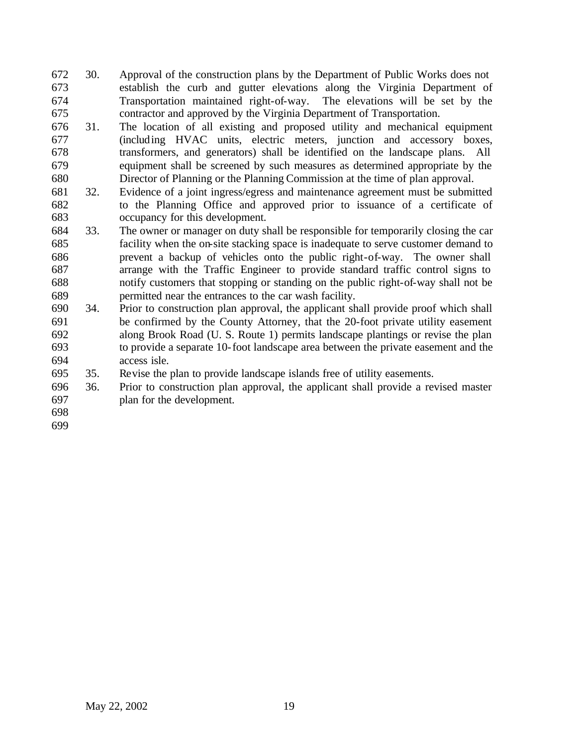- 30. Approval of the construction plans by the Department of Public Works does not establish the curb and gutter elevations along the Virginia Department of Transportation maintained right-of-way. The elevations will be set by the contractor and approved by the Virginia Department of Transportation.
- 31. The location of all existing and proposed utility and mechanical equipment (including HVAC units, electric meters, junction and accessory boxes, transformers, and generators) shall be identified on the landscape plans. All equipment shall be screened by such measures as determined appropriate by the Director of Planning or the Planning Commission at the time of plan approval.
- 32. Evidence of a joint ingress/egress and maintenance agreement must be submitted to the Planning Office and approved prior to issuance of a certificate of occupancy for this development.
- 33. The owner or manager on duty shall be responsible for temporarily closing the car facility when the on-site stacking space is inadequate to serve customer demand to prevent a backup of vehicles onto the public right-of-way. The owner shall arrange with the Traffic Engineer to provide standard traffic control signs to notify customers that stopping or standing on the public right-of-way shall not be permitted near the entrances to the car wash facility.
- 34. Prior to construction plan approval, the applicant shall provide proof which shall be confirmed by the County Attorney, that the 20-foot private utility easement along Brook Road (U. S. Route 1) permits landscape plantings or revise the plan to provide a separate 10-foot landscape area between the private easement and the access isle.
- 35. Revise the plan to provide landscape islands free of utility easements.
- 36. Prior to construction plan approval, the applicant shall provide a revised master plan for the development.
-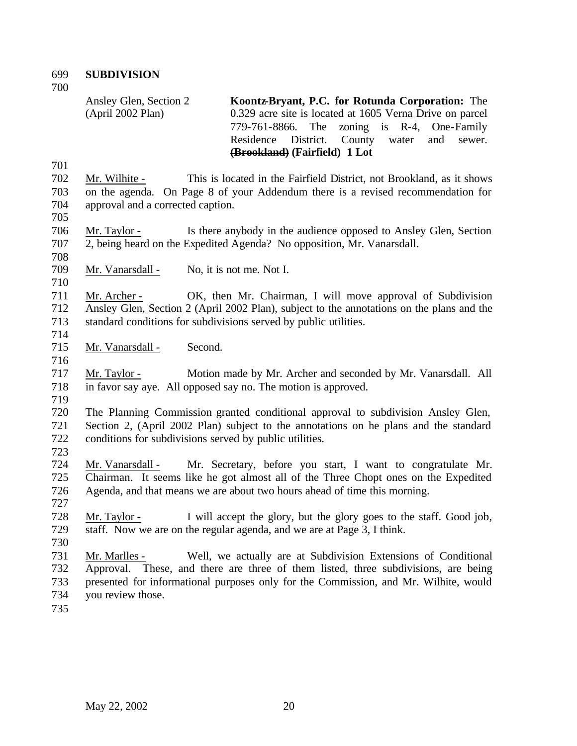**SUBDIVISION** 

Ansley Glen, Section 2 (April 2002 Plan) **Koontz-Bryant, P.C. for Rotunda Corporation:** The 0.329 acre site is located at 1605 Verna Drive on parcel 779-761-8866. The zoning is R-4, One-Family Residence District. County water and sewer. **(Brookland) (Fairfield) 1 Lot**

 Mr. Wilhite - This is located in the Fairfield District, not Brookland, as it shows on the agenda. On Page 8 of your Addendum there is a revised recommendation for approval and a corrected caption.

 Mr. Taylor - Is there anybody in the audience opposed to Ansley Glen, Section 2, being heard on the Expedited Agenda? No opposition, Mr. Vanarsdall.

- 
- 

Mr. Vanarsdall - No, it is not me. Not I.

 Mr. Archer - OK, then Mr. Chairman, I will move approval of Subdivision Ansley Glen, Section 2 (April 2002 Plan), subject to the annotations on the plans and the standard conditions for subdivisions served by public utilities.

Mr. Vanarsdall - Second.

 Mr. Taylor - Motion made by Mr. Archer and seconded by Mr. Vanarsdall. All in favor say aye. All opposed say no. The motion is approved.

 The Planning Commission granted conditional approval to subdivision Ansley Glen, Section 2, (April 2002 Plan) subject to the annotations on he plans and the standard conditions for subdivisions served by public utilities.

 Mr. Vanarsdall - Mr. Secretary, before you start, I want to congratulate Mr. Chairman. It seems like he got almost all of the Three Chopt ones on the Expedited Agenda, and that means we are about two hours ahead of time this morning. 

 Mr. Taylor - I will accept the glory, but the glory goes to the staff. Good job, staff. Now we are on the regular agenda, and we are at Page 3, I think.

 Mr. Marlles - Well, we actually are at Subdivision Extensions of Conditional Approval. These, and there are three of them listed, three subdivisions, are being presented for informational purposes only for the Commission, and Mr. Wilhite, would you review those.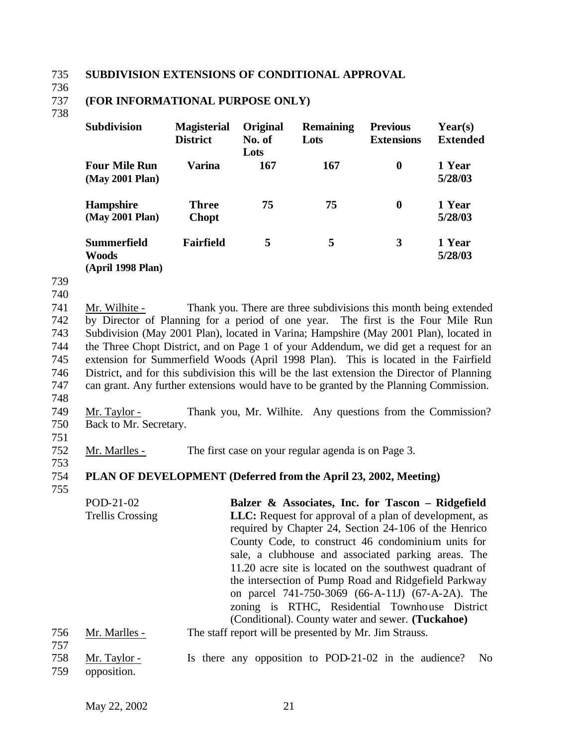#### 735 **SUBDIVISION EXTENSIONS OF CONDITIONAL APPROVAL**

736

## 737 **(FOR INFORMATIONAL PURPOSE ONLY)**

#### 738

| <b>Subdivision</b>                                | <b>Magisterial</b><br><b>District</b> | <b>Original</b><br>No. of<br>Lots | <b>Remaining</b><br>Lots | <b>Previous</b><br><b>Extensions</b> | $\text{Year}(s)$<br><b>Extended</b> |
|---------------------------------------------------|---------------------------------------|-----------------------------------|--------------------------|--------------------------------------|-------------------------------------|
| <b>Four Mile Run</b><br>(May 2001 Plan)           | Varina                                | <b>167</b>                        | 167                      | $\boldsymbol{0}$                     | 1 Year<br>5/28/03                   |
| <b>Hampshire</b><br>(May 2001 Plan)               | <b>Three</b><br><b>Chopt</b>          | 75                                | 75                       | $\bf{0}$                             | 1 Year<br>5/28/03                   |
| <b>Summerfield</b><br>Woods<br>$(Ann111000 Dlon)$ | <b>Fairfield</b>                      | 5                                 | 5                        | 3                                    | 1 Year<br>5/28/03                   |

**(April 1998 Plan)**

739

740

 Mr. Wilhite - Thank you. There are three subdivisions this month being extended by Director of Planning for a period of one year. The first is the Four Mile Run Subdivision (May 2001 Plan), located in Varina; Hampshire (May 2001 Plan), located in the Three Chopt District, and on Page 1 of your Addendum, we did get a request for an extension for Summerfield Woods (April 1998 Plan). This is located in the Fairfield District, and for this subdivision this will be the last extension the Director of Planning can grant. Any further extensions would have to be granted by the Planning Commission.

748

749 Mr. Taylor - Thank you, Mr. Wilhite. Any questions from the Commission? 750 Back to Mr. Secretary.

751

753

752 Mr. Marlles - The first case on your regular agenda is on Page 3.

## 754 **PLAN OF DEVELOPMENT (Deferred from the April 23, 2002, Meeting)**

755

POD-21-02 Trellis Crossing **Balzer & Associates, Inc. for Tascon – Ridgefield LLC:** Request for approval of a plan of development, as required by Chapter 24, Section 24-106 of the Henrico County Code, to construct 46 condominium units for sale, a clubhouse and associated parking areas. The 11.20 acre site is located on the southwest quadrant of the intersection of Pump Road and Ridgefield Parkway on parcel 741-750-3069 (66-A-11J) (67-A-2A). The zoning is RTHC, Residential Townhouse District (Conditional). County water and sewer. **(Tuckahoe)**

#### 756 Mr. Marlles - The staff report will be presented by Mr. Jim Strauss. 757

| 758 | Mr. Taylor -    |  |  | Is there any opposition to POD-21-02 in the audience? No |  |  |
|-----|-----------------|--|--|----------------------------------------------------------|--|--|
|     | 759 opposition. |  |  |                                                          |  |  |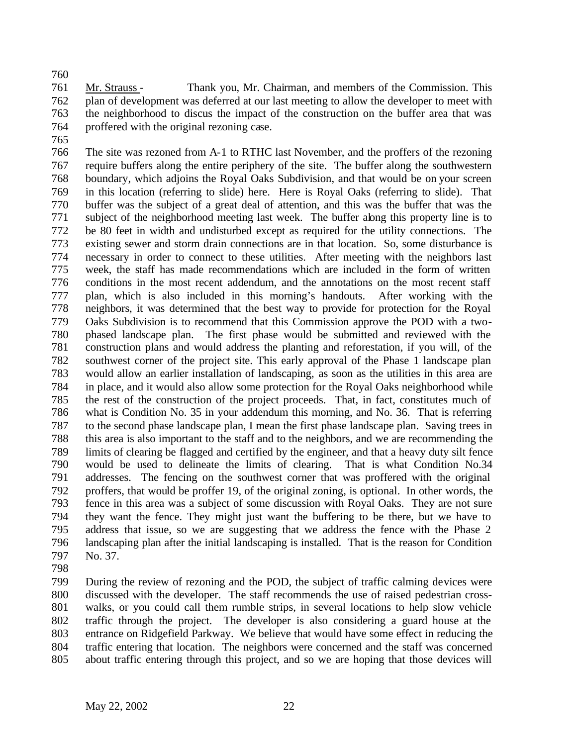Mr. Strauss - Thank you, Mr. Chairman, and members of the Commission. This plan of development was deferred at our last meeting to allow the developer to meet with the neighborhood to discus the impact of the construction on the buffer area that was proffered with the original rezoning case.

 The site was rezoned from A-1 to RTHC last November, and the proffers of the rezoning require buffers along the entire periphery of the site. The buffer along the southwestern boundary, which adjoins the Royal Oaks Subdivision, and that would be on your screen in this location (referring to slide) here. Here is Royal Oaks (referring to slide). That buffer was the subject of a great deal of attention, and this was the buffer that was the subject of the neighborhood meeting last week. The buffer along this property line is to be 80 feet in width and undisturbed except as required for the utility connections. The existing sewer and storm drain connections are in that location. So, some disturbance is necessary in order to connect to these utilities. After meeting with the neighbors last week, the staff has made recommendations which are included in the form of written conditions in the most recent addendum, and the annotations on the most recent staff plan, which is also included in this morning's handouts. After working with the neighbors, it was determined that the best way to provide for protection for the Royal Oaks Subdivision is to recommend that this Commission approve the POD with a two- phased landscape plan. The first phase would be submitted and reviewed with the construction plans and would address the planting and reforestation, if you will, of the southwest corner of the project site. This early approval of the Phase 1 landscape plan would allow an earlier installation of landscaping, as soon as the utilities in this area are in place, and it would also allow some protection for the Royal Oaks neighborhood while the rest of the construction of the project proceeds. That, in fact, constitutes much of what is Condition No. 35 in your addendum this morning, and No. 36. That is referring to the second phase landscape plan, I mean the first phase landscape plan. Saving trees in this area is also important to the staff and to the neighbors, and we are recommending the limits of clearing be flagged and certified by the engineer, and that a heavy duty silt fence would be used to delineate the limits of clearing. That is what Condition No.34 addresses. The fencing on the southwest corner that was proffered with the original proffers, that would be proffer 19, of the original zoning, is optional. In other words, the fence in this area was a subject of some discussion with Royal Oaks. They are not sure 794 they want the fence. They might just want the buffering to be there, but we have to address that issue, so we are suggesting that we address the fence with the Phase 2 address that issue, so we are suggesting that we address the fence with the Phase 2 landscaping plan after the initial landscaping is installed. That is the reason for Condition No. 37.

 During the review of rezoning and the POD, the subject of traffic calming devices were discussed with the developer. The staff recommends the use of raised pedestrian cross- walks, or you could call them rumble strips, in several locations to help slow vehicle traffic through the project. The developer is also considering a guard house at the entrance on Ridgefield Parkway. We believe that would have some effect in reducing the traffic entering that location. The neighbors were concerned and the staff was concerned about traffic entering through this project, and so we are hoping that those devices will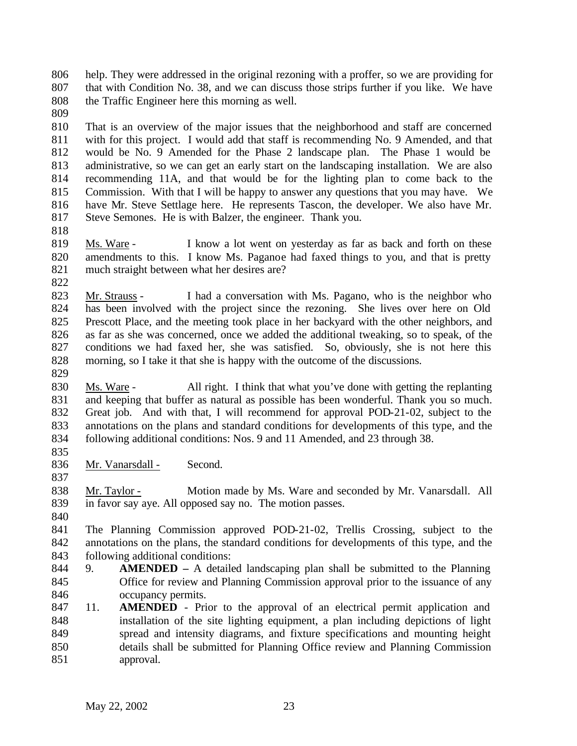help. They were addressed in the original rezoning with a proffer, so we are providing for that with Condition No. 38, and we can discuss those strips further if you like. We have the Traffic Engineer here this morning as well.

 That is an overview of the major issues that the neighborhood and staff are concerned with for this project. I would add that staff is recommending No. 9 Amended, and that would be No. 9 Amended for the Phase 2 landscape plan. The Phase 1 would be administrative, so we can get an early start on the landscaping installation. We are also recommending 11A, and that would be for the lighting plan to come back to the Commission. With that I will be happy to answer any questions that you may have. We have Mr. Steve Settlage here. He represents Tascon, the developer. We also have Mr. Steve Semones. He is with Balzer, the engineer. Thank you.

 Ms. Ware - I know a lot went on yesterday as far as back and forth on these amendments to this. I know Ms. Paganoe had faxed things to you, and that is pretty much straight between what her desires are?

 Mr. Strauss - I had a conversation with Ms. Pagano, who is the neighbor who has been involved with the project since the rezoning. She lives over here on Old Prescott Place, and the meeting took place in her backyard with the other neighbors, and as far as she was concerned, once we added the additional tweaking, so to speak, of the conditions we had faxed her, she was satisfied. So, obviously, she is not here this morning, so I take it that she is happy with the outcome of the discussions.

 Ms. Ware - All right. I think that what you've done with getting the replanting and keeping that buffer as natural as possible has been wonderful. Thank you so much. Great job. And with that, I will recommend for approval POD-21-02, subject to the annotations on the plans and standard conditions for developments of this type, and the following additional conditions: Nos. 9 and 11 Amended, and 23 through 38.

836 Mr. Vanarsdall - Second.

838 Mr. Taylor - Motion made by Ms. Ware and seconded by Mr. Vanarsdall. All in favor say aye. All opposed say no. The motion passes.

 The Planning Commission approved POD-21-02, Trellis Crossing, subject to the annotations on the plans, the standard conditions for developments of this type, and the following additional conditions:

- 9. **AMENDED –** A detailed landscaping plan shall be submitted to the Planning Office for review and Planning Commission approval prior to the issuance of any occupancy permits.
- 11. **AMENDED** Prior to the approval of an electrical permit application and installation of the site lighting equipment, a plan including depictions of light spread and intensity diagrams, and fixture specifications and mounting height details shall be submitted for Planning Office review and Planning Commission approval.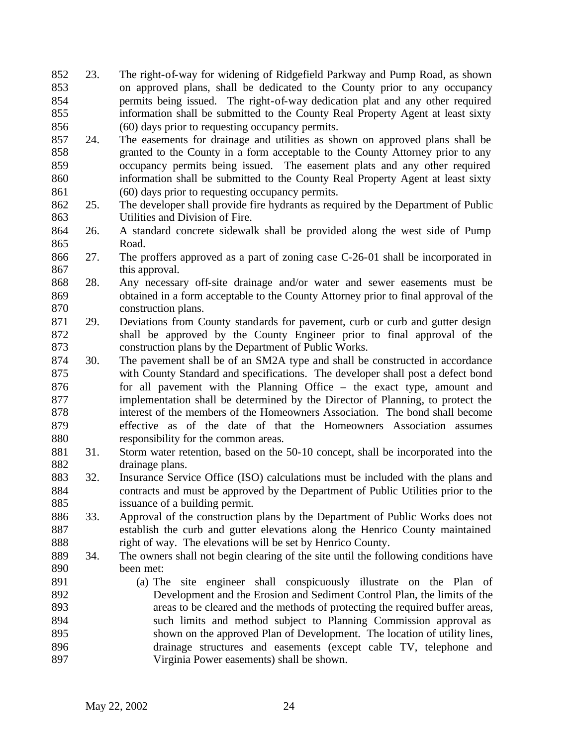- 23. The right-of-way for widening of Ridgefield Parkway and Pump Road, as shown on approved plans, shall be dedicated to the County prior to any occupancy permits being issued. The right-of-way dedication plat and any other required information shall be submitted to the County Real Property Agent at least sixty (60) days prior to requesting occupancy permits.
- 24. The easements for drainage and utilities as shown on approved plans shall be granted to the County in a form acceptable to the County Attorney prior to any occupancy permits being issued. The easement plats and any other required information shall be submitted to the County Real Property Agent at least sixty (60) days prior to requesting occupancy permits.
- 25. The developer shall provide fire hydrants as required by the Department of Public Utilities and Division of Fire.
- 26. A standard concrete sidewalk shall be provided along the west side of Pump Road.
- 27. The proffers approved as a part of zoning case C-26-01 shall be incorporated in this approval.
- 28. Any necessary off-site drainage and/or water and sewer easements must be obtained in a form acceptable to the County Attorney prior to final approval of the construction plans.
- 29. Deviations from County standards for pavement, curb or curb and gutter design shall be approved by the County Engineer prior to final approval of the construction plans by the Department of Public Works.
- 30. The pavement shall be of an SM2A type and shall be constructed in accordance with County Standard and specifications. The developer shall post a defect bond 876 for all pavement with the Planning Office – the exact type, amount and implementation shall be determined by the Director of Planning, to protect the interest of the members of the Homeowners Association. The bond shall become effective as of the date of that the Homeowners Association assumes responsibility for the common areas.
- 31. Storm water retention, based on the 50-10 concept, shall be incorporated into the drainage plans.
- 32. Insurance Service Office (ISO) calculations must be included with the plans and contracts and must be approved by the Department of Public Utilities prior to the issuance of a building permit.
- 33. Approval of the construction plans by the Department of Public Works does not establish the curb and gutter elevations along the Henrico County maintained 888 right of way. The elevations will be set by Henrico County.
- 34. The owners shall not begin clearing of the site until the following conditions have been met:
- (a) The site engineer shall conspicuously illustrate on the Plan of Development and the Erosion and Sediment Control Plan, the limits of the areas to be cleared and the methods of protecting the required buffer areas, such limits and method subject to Planning Commission approval as shown on the approved Plan of Development. The location of utility lines, drainage structures and easements (except cable TV, telephone and Virginia Power easements) shall be shown.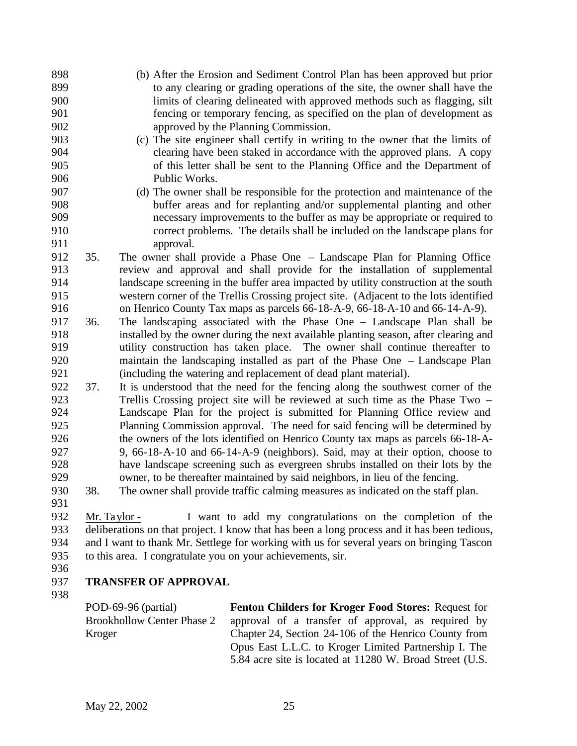- (b) After the Erosion and Sediment Control Plan has been approved but prior to any clearing or grading operations of the site, the owner shall have the limits of clearing delineated with approved methods such as flagging, silt fencing or temporary fencing, as specified on the plan of development as approved by the Planning Commission.
- (c) The site engineer shall certify in writing to the owner that the limits of clearing have been staked in accordance with the approved plans. A copy of this letter shall be sent to the Planning Office and the Department of Public Works.
- (d) The owner shall be responsible for the protection and maintenance of the buffer areas and for replanting and/or supplemental planting and other necessary improvements to the buffer as may be appropriate or required to correct problems. The details shall be included on the landscape plans for approval.
- 35. The owner shall provide a Phase One Landscape Plan for Planning Office review and approval and shall provide for the installation of supplemental landscape screening in the buffer area impacted by utility construction at the south western corner of the Trellis Crossing project site. (Adjacent to the lots identified on Henrico County Tax maps as parcels 66-18-A-9, 66-18-A-10 and 66-14-A-9).
- 36. The landscaping associated with the Phase One Landscape Plan shall be installed by the owner during the next available planting season, after clearing and utility construction has taken place. The owner shall continue thereafter to maintain the landscaping installed as part of the Phase One – Landscape Plan (including the watering and replacement of dead plant material).
- 37. It is understood that the need for the fencing along the southwest corner of the Trellis Crossing project site will be reviewed at such time as the Phase Two – Landscape Plan for the project is submitted for Planning Office review and Planning Commission approval. The need for said fencing will be determined by the owners of the lots identified on Henrico County tax maps as parcels 66-18-A- 9, 66-18-A-10 and 66-14-A-9 (neighbors). Said, may at their option, choose to have landscape screening such as evergreen shrubs installed on their lots by the owner, to be thereafter maintained by said neighbors, in lieu of the fencing.
- 38. The owner shall provide traffic calming measures as indicated on the staff plan.
- 

 Mr. Taylor - I want to add my congratulations on the completion of the deliberations on that project. I know that has been a long process and it has been tedious, and I want to thank Mr. Settlege for working with us for several years on bringing Tascon to this area. I congratulate you on your achievements, sir.

## **TRANSFER OF APPROVAL**

POD-69-96 (partial) Brookhollow Center Phase 2 Kroger **Fenton Childers for Kroger Food Stores:** Request for approval of a transfer of approval, as required by Chapter 24, Section 24-106 of the Henrico County from Opus East L.L.C. to Kroger Limited Partnership I. The 5.84 acre site is located at 11280 W. Broad Street (U.S.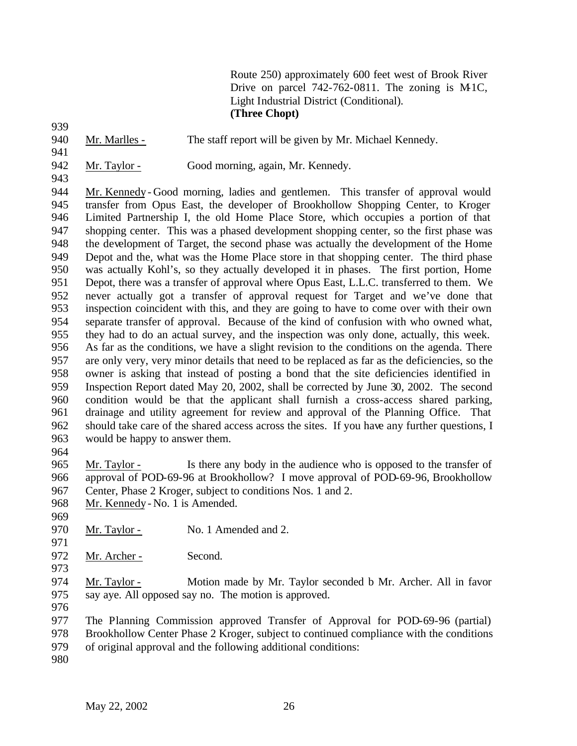Route 250) approximately 600 feet west of Brook River Drive on parcel  $742-762-0811$ . The zoning is M-1C, Light Industrial District (Conditional). **(Three Chopt)**

940 Mr. Marlles - The staff report will be given by Mr. Michael Kennedy.

942 Mr. Taylor - Good morning, again, Mr. Kennedy.

 Mr. Kennedy - Good morning, ladies and gentlemen. This transfer of approval would transfer from Opus East, the developer of Brookhollow Shopping Center, to Kroger Limited Partnership I, the old Home Place Store, which occupies a portion of that shopping center. This was a phased development shopping center, so the first phase was the development of Target, the second phase was actually the development of the Home Depot and the, what was the Home Place store in that shopping center. The third phase was actually Kohl's, so they actually developed it in phases. The first portion, Home Depot, there was a transfer of approval where Opus East, L.L.C. transferred to them. We never actually got a transfer of approval request for Target and we've done that inspection coincident with this, and they are going to have to come over with their own separate transfer of approval. Because of the kind of confusion with who owned what, they had to do an actual survey, and the inspection was only done, actually, this week. As far as the conditions, we have a slight revision to the conditions on the agenda. There are only very, very minor details that need to be replaced as far as the deficiencies, so the owner is asking that instead of posting a bond that the site deficiencies identified in Inspection Report dated May 20, 2002, shall be corrected by June 30, 2002. The second condition would be that the applicant shall furnish a cross-access shared parking, drainage and utility agreement for review and approval of the Planning Office. That should take care of the shared access across the sites. If you have any further questions, I would be happy to answer them.

 Mr. Taylor - Is there any body in the audience who is opposed to the transfer of approval of POD-69-96 at Brookhollow? I move approval of POD-69-96, Brookhollow Center, Phase 2 Kroger, subject to conditions Nos. 1 and 2.

- Mr. Kennedy No. 1 is Amended.
- 

970 Mr. Taylor - No. 1 Amended and 2.

972 Mr. Archer - Second. 

 Mr. Taylor - Motion made by Mr. Taylor seconded b Mr. Archer. All in favor say aye. All opposed say no. The motion is approved.

 The Planning Commission approved Transfer of Approval for POD-69-96 (partial) Brookhollow Center Phase 2 Kroger, subject to continued compliance with the conditions

- of original approval and the following additional conditions:
-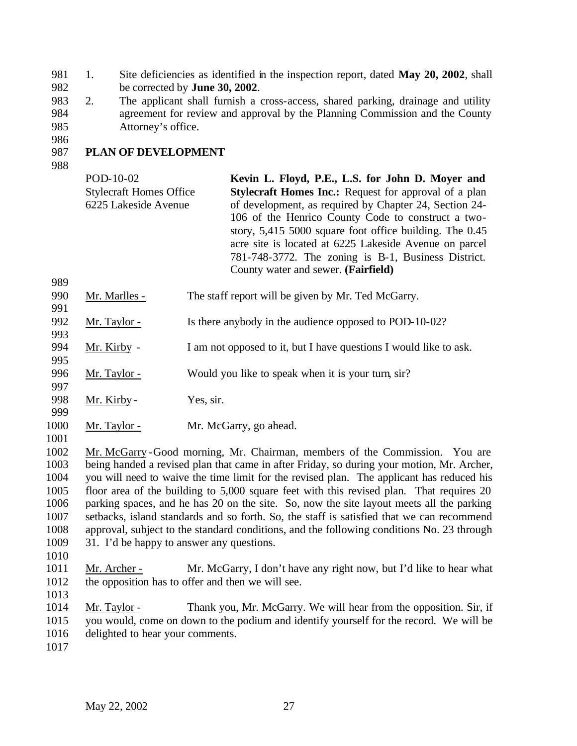- 1. Site deficiencies as identified in the inspection report, dated **May 20, 2002**, shall be corrected by **June 30, 2002**.
- 2. The applicant shall furnish a cross-access, shared parking, drainage and utility agreement for review and approval by the Planning Commission and the County Attorney's office.
- 

## **PLAN OF DEVELOPMENT**

| POD-10-02                      | Kevin L. Floyd, P.E., L.S. for John D. Moyer and             |
|--------------------------------|--------------------------------------------------------------|
|                                |                                                              |
| <b>Stylecraft Homes Office</b> | <b>Stylecraft Homes Inc.:</b> Request for approval of a plan |
| 6225 Lakeside Avenue           | of development, as required by Chapter 24, Section 24-       |
|                                | 106 of the Henrico County Code to construct a two-           |
|                                | story, $5,415,5000$ square foot office building. The 0.45    |
|                                | acre site is located at 6225 Lakeside Avenue on parcel       |
|                                | 781-748-3772. The zoning is B-1, Business District.          |
|                                | County water and sewer. (Fairfield)                          |

- 990 Mr. Marlles The staff report will be given by Mr. Ted McGarry.
- 992 Mr. Taylor Is there anybody in the audience opposed to POD-10-02?
- Mr. Kirby I am not opposed to it, but I have questions I would like to ask.

996 Mr. Taylor - Would you like to speak when it is your turn, sir?

998 Mr. Kirby - Yes, sir.

- Mr. Taylor Mr. McGarry, go ahead.
- 

 Mr. McGarry -Good morning, Mr. Chairman, members of the Commission. You are being handed a revised plan that came in after Friday, so during your motion, Mr. Archer, you will need to waive the time limit for the revised plan. The applicant has reduced his floor area of the building to 5,000 square feet with this revised plan. That requires 20 parking spaces, and he has 20 on the site. So, now the site layout meets all the parking setbacks, island standards and so forth. So, the staff is satisfied that we can recommend approval, subject to the standard conditions, and the following conditions No. 23 through 31. I'd be happy to answer any questions.

- Mr. Archer Mr. McGarry, I don't have any right now, but I'd like to hear what the opposition has to offer and then we will see.
- 

 Mr. Taylor - Thank you, Mr. McGarry. We will hear from the opposition. Sir, if you would, come on down to the podium and identify yourself for the record. We will be delighted to hear your comments.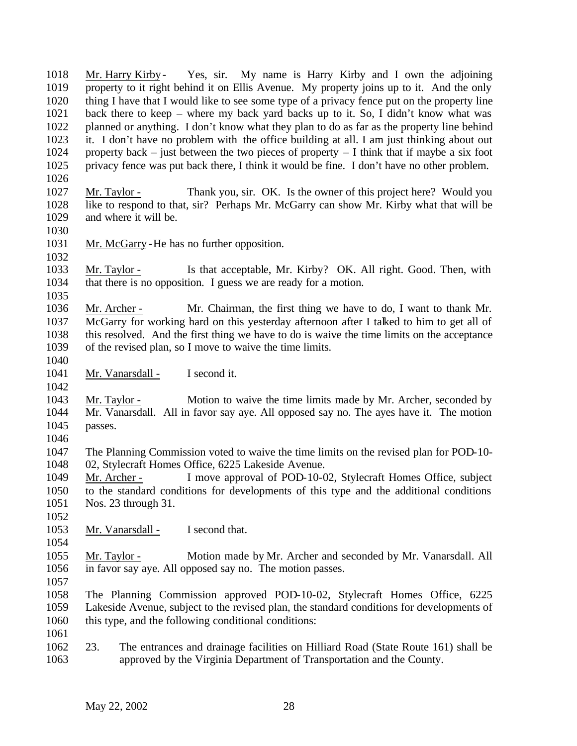Mr. Harry Kirby - Yes, sir. My name is Harry Kirby and I own the adjoining property to it right behind it on Ellis Avenue. My property joins up to it. And the only thing I have that I would like to see some type of a privacy fence put on the property line back there to keep – where my back yard backs up to it. So, I didn't know what was planned or anything. I don't know what they plan to do as far as the property line behind it. I don't have no problem with the office building at all. I am just thinking about out 1024 property back – just between the two pieces of property – I think that if maybe a six foot privacy fence was put back there, I think it would be fine. I don't have no other problem. Mr. Taylor - Thank you, sir. OK. Is the owner of this project here? Would you like to respond to that, sir? Perhaps Mr. McGarry can show Mr. Kirby what that will be and where it will be. Mr. McGarry -He has no further opposition. 

 Mr. Taylor - Is that acceptable, Mr. Kirby? OK. All right. Good. Then, with that there is no opposition. I guess we are ready for a motion. 

 Mr. Archer - Mr. Chairman, the first thing we have to do, I want to thank Mr. McGarry for working hard on this yesterday afternoon after I talked to him to get all of this resolved. And the first thing we have to do is waive the time limits on the acceptance of the revised plan, so I move to waive the time limits.

1041 Mr. Vanarsdall - I second it.

- Mr. Taylor - Motion to waive the time limits made by Mr. Archer, seconded by Mr. Vanarsdall. All in favor say aye. All opposed say no. The ayes have it. The motion passes.
- 

 The Planning Commission voted to waive the time limits on the revised plan for POD-10- 02, Stylecraft Homes Office, 6225 Lakeside Avenue.

 Mr. Archer - I move approval of POD-10-02, Stylecraft Homes Office, subject to the standard conditions for developments of this type and the additional conditions Nos. 23 through 31.

1053 Mr. Vanarsdall - I second that.

 Mr. Taylor - Motion made by Mr. Archer and seconded by Mr. Vanarsdall. All in favor say aye. All opposed say no. The motion passes. 

 The Planning Commission approved POD-10-02, Stylecraft Homes Office, 6225 Lakeside Avenue, subject to the revised plan, the standard conditions for developments of this type, and the following conditional conditions: 

 23. The entrances and drainage facilities on Hilliard Road (State Route 161) shall be approved by the Virginia Department of Transportation and the County.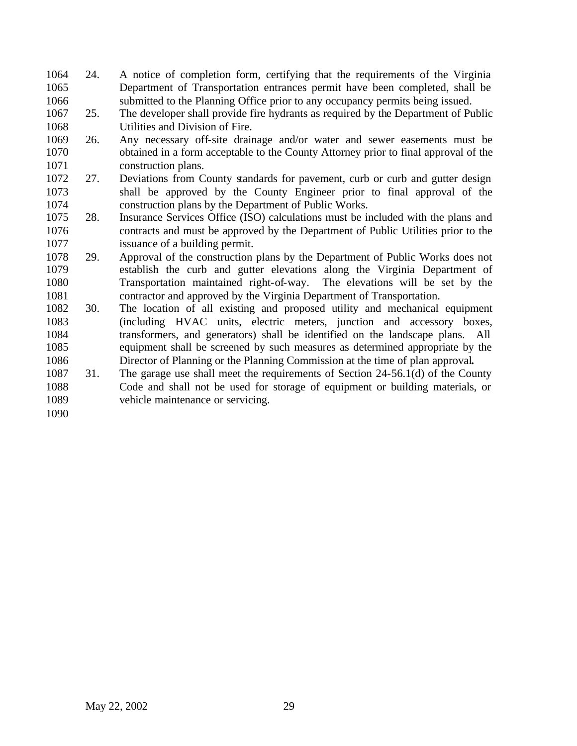- 24. A notice of completion form, certifying that the requirements of the Virginia Department of Transportation entrances permit have been completed, shall be submitted to the Planning Office prior to any occupancy permits being issued.
- 25. The developer shall provide fire hydrants as required by the Department of Public Utilities and Division of Fire.
- 26. Any necessary off-site drainage and/or water and sewer easements must be obtained in a form acceptable to the County Attorney prior to final approval of the construction plans.
- 27. Deviations from County standards for pavement, curb or curb and gutter design shall be approved by the County Engineer prior to final approval of the construction plans by the Department of Public Works.
- 28. Insurance Services Office (ISO) calculations must be included with the plans and contracts and must be approved by the Department of Public Utilities prior to the issuance of a building permit.
- 29. Approval of the construction plans by the Department of Public Works does not establish the curb and gutter elevations along the Virginia Department of Transportation maintained right-of-way. The elevations will be set by the contractor and approved by the Virginia Department of Transportation.
- 30. The location of all existing and proposed utility and mechanical equipment (including HVAC units, electric meters, junction and accessory boxes, transformers, and generators) shall be identified on the landscape plans. All equipment shall be screened by such measures as determined appropriate by the Director of Planning or the Planning Commission at the time of plan approval**.**
- 31. The garage use shall meet the requirements of Section 24-56.1(d) of the County Code and shall not be used for storage of equipment or building materials, or vehicle maintenance or servicing.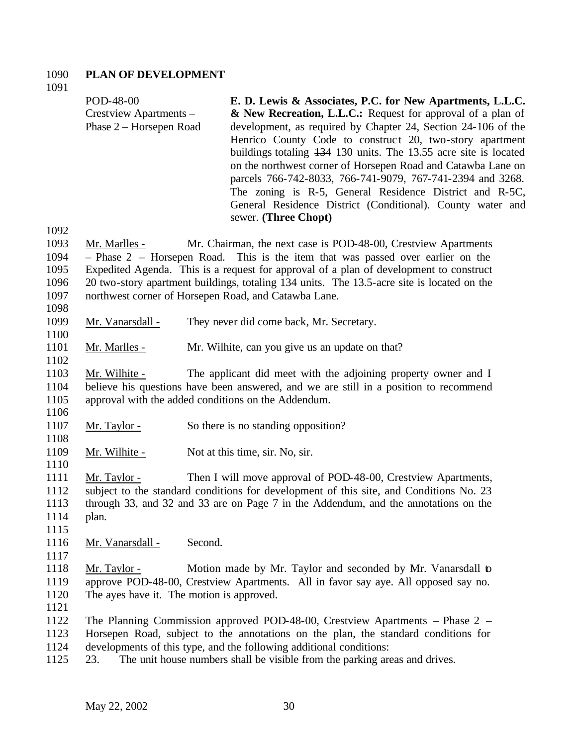# **PLAN OF DEVELOPMENT**

| 1091<br>1092                                 | POD-48-00<br>Crestview Apartments -<br>Phase 2 – Horsepen Road                                                                                                                                                                                                                 |         | E. D. Lewis & Associates, P.C. for New Apartments, L.L.C.<br>& New Recreation, L.L.C.: Request for approval of a plan of<br>development, as required by Chapter 24, Section 24-106 of the<br>Henrico County Code to construct 20, two-story apartment<br>buildings totaling 134 130 units. The 13.55 acre site is located<br>on the northwest corner of Horsepen Road and Catawba Lane on<br>parcels 766-742-8033, 766-741-9079, 767-741-2394 and 3268.<br>The zoning is R-5, General Residence District and R-5C,<br>General Residence District (Conditional). County water and<br>sewer. (Three Chopt) |  |  |
|----------------------------------------------|--------------------------------------------------------------------------------------------------------------------------------------------------------------------------------------------------------------------------------------------------------------------------------|---------|----------------------------------------------------------------------------------------------------------------------------------------------------------------------------------------------------------------------------------------------------------------------------------------------------------------------------------------------------------------------------------------------------------------------------------------------------------------------------------------------------------------------------------------------------------------------------------------------------------|--|--|
| 1093<br>1094<br>1095<br>1096<br>1097<br>1098 | Mr. Marlles -                                                                                                                                                                                                                                                                  |         | Mr. Chairman, the next case is POD-48-00, Crestview Apartments<br>$-$ Phase 2 $-$ Horsepen Road. This is the item that was passed over earlier on the<br>Expedited Agenda. This is a request for approval of a plan of development to construct<br>20 two-story apartment buildings, totaling 134 units. The 13.5-acre site is located on the<br>northwest corner of Horsepen Road, and Catawba Lane.                                                                                                                                                                                                    |  |  |
| 1099                                         | Mr. Vanarsdall -                                                                                                                                                                                                                                                               |         | They never did come back, Mr. Secretary.                                                                                                                                                                                                                                                                                                                                                                                                                                                                                                                                                                 |  |  |
| 1100<br>1101                                 | Mr. Marlles -                                                                                                                                                                                                                                                                  |         | Mr. Wilhite, can you give us an update on that?                                                                                                                                                                                                                                                                                                                                                                                                                                                                                                                                                          |  |  |
| 1102<br>1103<br>1104<br>1105                 | Mr. Wilhite -                                                                                                                                                                                                                                                                  |         | The applicant did meet with the adjoining property owner and I<br>believe his questions have been answered, and we are still in a position to recommend<br>approval with the added conditions on the Addendum.                                                                                                                                                                                                                                                                                                                                                                                           |  |  |
| 1106<br>1107<br>1108                         | Mr. Taylor -                                                                                                                                                                                                                                                                   |         | So there is no standing opposition?                                                                                                                                                                                                                                                                                                                                                                                                                                                                                                                                                                      |  |  |
| 1109                                         | Mr. Wilhite -                                                                                                                                                                                                                                                                  |         | Not at this time, sir. No, sir.                                                                                                                                                                                                                                                                                                                                                                                                                                                                                                                                                                          |  |  |
| 1110<br>1111<br>1112<br>1113<br>1114<br>1115 | Then I will move approval of POD-48-00, Crestview Apartments,<br><u>Mr. Taylor -</u><br>subject to the standard conditions for development of this site, and Conditions No. 23<br>through 33, and 32 and 33 are on Page 7 in the Addendum, and the annotations on the<br>plan. |         |                                                                                                                                                                                                                                                                                                                                                                                                                                                                                                                                                                                                          |  |  |
| 1116                                         | Mr. Vanarsdall -                                                                                                                                                                                                                                                               | Second. |                                                                                                                                                                                                                                                                                                                                                                                                                                                                                                                                                                                                          |  |  |
| 1117<br>1118<br>1119<br>1120<br>1121         | Mr. Taylor -<br>The ayes have it. The motion is approved.                                                                                                                                                                                                                      |         | Motion made by Mr. Taylor and seconded by Mr. Vanarsdall to<br>approve POD-48-00, Crestview Apartments. All in favor say aye. All opposed say no.                                                                                                                                                                                                                                                                                                                                                                                                                                                        |  |  |
| 1122<br>1123<br>1124<br>1125                 | 23.                                                                                                                                                                                                                                                                            |         | The Planning Commission approved POD-48-00, Crestview Apartments – Phase $2$ –<br>Horsepen Road, subject to the annotations on the plan, the standard conditions for<br>developments of this type, and the following additional conditions:<br>The unit house numbers shall be visible from the parking areas and drives.                                                                                                                                                                                                                                                                                |  |  |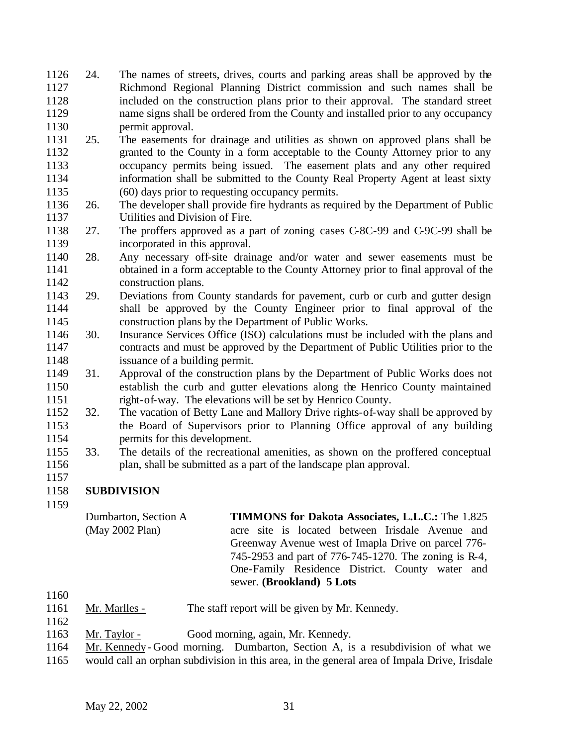- 24. The names of streets, drives, courts and parking areas shall be approved by the Richmond Regional Planning District commission and such names shall be included on the construction plans prior to their approval. The standard street name signs shall be ordered from the County and installed prior to any occupancy permit approval.
- 25. The easements for drainage and utilities as shown on approved plans shall be granted to the County in a form acceptable to the County Attorney prior to any occupancy permits being issued. The easement plats and any other required information shall be submitted to the County Real Property Agent at least sixty (60) days prior to requesting occupancy permits.
- 26. The developer shall provide fire hydrants as required by the Department of Public Utilities and Division of Fire.
- 27. The proffers approved as a part of zoning cases C-8C-99 and C-9C-99 shall be incorporated in this approval.
- 28. Any necessary off-site drainage and/or water and sewer easements must be obtained in a form acceptable to the County Attorney prior to final approval of the construction plans.
- 29. Deviations from County standards for pavement, curb or curb and gutter design shall be approved by the County Engineer prior to final approval of the construction plans by the Department of Public Works.
- 30. Insurance Services Office (ISO) calculations must be included with the plans and contracts and must be approved by the Department of Public Utilities prior to the issuance of a building permit.
- 31. Approval of the construction plans by the Department of Public Works does not establish the curb and gutter elevations along the Henrico County maintained right-of-way. The elevations will be set by Henrico County.
- 32. The vacation of Betty Lane and Mallory Drive rights-of-way shall be approved by the Board of Supervisors prior to Planning Office approval of any building permits for this development.
- 33. The details of the recreational amenities, as shown on the proffered conceptual plan, shall be submitted as a part of the landscape plan approval.
- 
- **SUBDIVISION**
- 
- Dumbarton, Section A (May 2002 Plan) **TIMMONS for Dakota Associates, L.L.C.:** The 1.825 acre site is located between Irisdale Avenue and Greenway Avenue west of Imapla Drive on parcel 776- 745-2953 and part of 776-745-1270. The zoning is R-4, One-Family Residence District. County water and sewer. **(Brookland) 5 Lots**
- 
- Mr. Marlles The staff report will be given by Mr. Kennedy.
- 
- Mr. Taylor Good morning, again, Mr. Kennedy.
- Mr. Kennedy Good morning. Dumbarton, Section A, is a resubdivision of what we
- would call an orphan subdivision in this area, in the general area of Impala Drive, Irisdale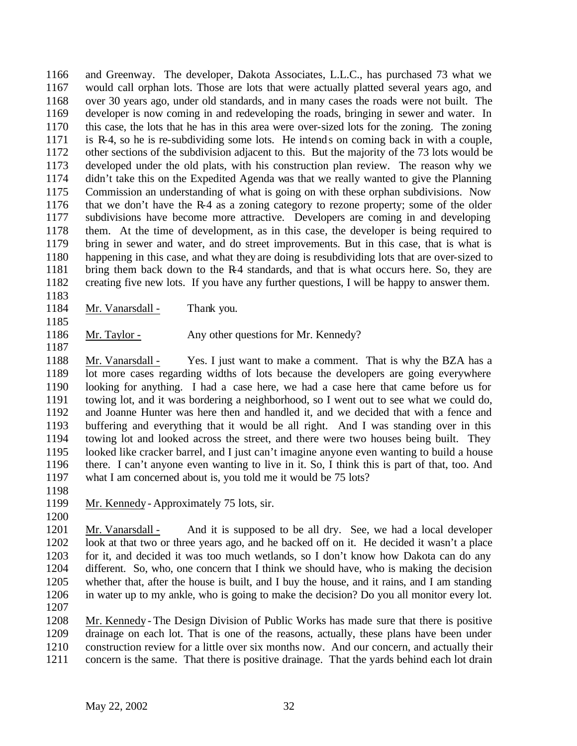and Greenway. The developer, Dakota Associates, L.L.C., has purchased 73 what we would call orphan lots. Those are lots that were actually platted several years ago, and over 30 years ago, under old standards, and in many cases the roads were not built. The developer is now coming in and redeveloping the roads, bringing in sewer and water. In this case, the lots that he has in this area were over-sized lots for the zoning. The zoning is R-4, so he is re-subdividing some lots. He intends on coming back in with a couple, other sections of the subdivision adjacent to this. But the majority of the 73 lots would be developed under the old plats, with his construction plan review. The reason why we didn't take this on the Expedited Agenda was that we really wanted to give the Planning Commission an understanding of what is going on with these orphan subdivisions. Now that we don't have the R-4 as a zoning category to rezone property; some of the older subdivisions have become more attractive. Developers are coming in and developing them. At the time of development, as in this case, the developer is being required to bring in sewer and water, and do street improvements. But in this case, that is what is happening in this case, and what they are doing is resubdividing lots that are over-sized to bring them back down to the R-4 standards, and that is what occurs here. So, they are creating five new lots. If you have any further questions, I will be happy to answer them.

- 1184 Mr. Vanarsdall Thank you.
- Mr. Taylor Any other questions for Mr. Kennedy?

 Mr. Vanarsdall - Yes. I just want to make a comment. That is why the BZA has a lot more cases regarding widths of lots because the developers are going everywhere looking for anything. I had a case here, we had a case here that came before us for towing lot, and it was bordering a neighborhood, so I went out to see what we could do, and Joanne Hunter was here then and handled it, and we decided that with a fence and buffering and everything that it would be all right. And I was standing over in this towing lot and looked across the street, and there were two houses being built. They looked like cracker barrel, and I just can't imagine anyone even wanting to build a house there. I can't anyone even wanting to live in it. So, I think this is part of that, too. And what I am concerned about is, you told me it would be 75 lots?

- Mr. Kennedy Approximately 75 lots, sir.
- 

 Mr. Vanarsdall - And it is supposed to be all dry. See, we had a local developer look at that two or three years ago, and he backed off on it. He decided it wasn't a place for it, and decided it was too much wetlands, so I don't know how Dakota can do any different. So, who, one concern that I think we should have, who is making the decision whether that, after the house is built, and I buy the house, and it rains, and I am standing in water up to my ankle, who is going to make the decision? Do you all monitor every lot.

 Mr. Kennedy - The Design Division of Public Works has made sure that there is positive drainage on each lot. That is one of the reasons, actually, these plans have been under construction review for a little over six months now. And our concern, and actually their concern is the same. That there is positive drainage. That the yards behind each lot drain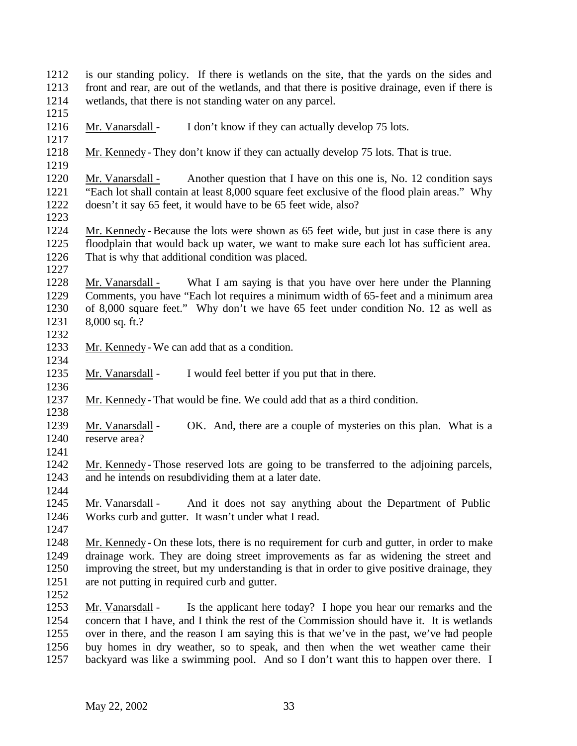| 1212                                 | is our standing policy. If there is wetlands on the site, that the yards on the sides and                                                                                                                                                                                                                                                                                                                                                                  |
|--------------------------------------|------------------------------------------------------------------------------------------------------------------------------------------------------------------------------------------------------------------------------------------------------------------------------------------------------------------------------------------------------------------------------------------------------------------------------------------------------------|
| 1213                                 | front and rear, are out of the wetlands, and that there is positive drainage, even if there is                                                                                                                                                                                                                                                                                                                                                             |
| 1214<br>1215                         | wetlands, that there is not standing water on any parcel.                                                                                                                                                                                                                                                                                                                                                                                                  |
| 1216<br>1217                         | I don't know if they can actually develop 75 lots.<br>Mr. Vanarsdall -                                                                                                                                                                                                                                                                                                                                                                                     |
| 1218<br>1219                         | Mr. Kennedy - They don't know if they can actually develop 75 lots. That is true.                                                                                                                                                                                                                                                                                                                                                                          |
| 1220<br>1221<br>1222<br>1223         | Another question that I have on this one is, No. 12 condition says<br>Mr. Vanarsdall -<br>"Each lot shall contain at least 8,000 square feet exclusive of the flood plain areas." Why<br>doesn't it say 65 feet, it would have to be 65 feet wide, also?                                                                                                                                                                                                   |
| 1224<br>1225<br>1226<br>1227         | Mr. Kennedy - Because the lots were shown as 65 feet wide, but just in case there is any<br>floodplain that would back up water, we want to make sure each lot has sufficient area.<br>That is why that additional condition was placed.                                                                                                                                                                                                                   |
| 1228<br>1229<br>1230<br>1231         | What I am saying is that you have over here under the Planning<br>Mr. Vanarsdall -<br>Comments, you have "Each lot requires a minimum width of 65-feet and a minimum area<br>of 8,000 square feet." Why don't we have 65 feet under condition No. 12 as well as<br>$8,000$ sq. ft.?                                                                                                                                                                        |
| 1232<br>1233                         | Mr. Kennedy - We can add that as a condition.                                                                                                                                                                                                                                                                                                                                                                                                              |
| 1234<br>1235                         | I would feel better if you put that in there.<br>Mr. Vanarsdall -                                                                                                                                                                                                                                                                                                                                                                                          |
| 1236<br>1237<br>1238                 | Mr. Kennedy - That would be fine. We could add that as a third condition.                                                                                                                                                                                                                                                                                                                                                                                  |
| 1239<br>1240<br>1241                 | Mr. Vanarsdall -<br>OK. And, there are a couple of mysteries on this plan. What is a<br>reserve area?                                                                                                                                                                                                                                                                                                                                                      |
| 1242<br>1243<br>1244                 | Mr. Kennedy - Those reserved lots are going to be transferred to the adjoining parcels,<br>and he intends on resubdividing them at a later date.                                                                                                                                                                                                                                                                                                           |
| 1245<br>1246<br>1247                 | And it does not say anything about the Department of Public<br>Mr. Vanarsdall -<br>Works curb and gutter. It wasn't under what I read.                                                                                                                                                                                                                                                                                                                     |
| 1248<br>1249<br>1250<br>1251<br>1252 | Mr. Kennedy - On these lots, there is no requirement for curb and gutter, in order to make<br>drainage work. They are doing street improvements as far as widening the street and<br>improving the street, but my understanding is that in order to give positive drainage, they<br>are not putting in required curb and gutter.                                                                                                                           |
| 1253<br>1254<br>1255<br>1256<br>1257 | Is the applicant here today? I hope you hear our remarks and the<br>Mr. Vanarsdall -<br>concern that I have, and I think the rest of the Commission should have it. It is wetlands<br>over in there, and the reason I am saying this is that we've in the past, we've had people<br>buy homes in dry weather, so to speak, and then when the wet weather came their<br>backyard was like a swimming pool. And so I don't want this to happen over there. I |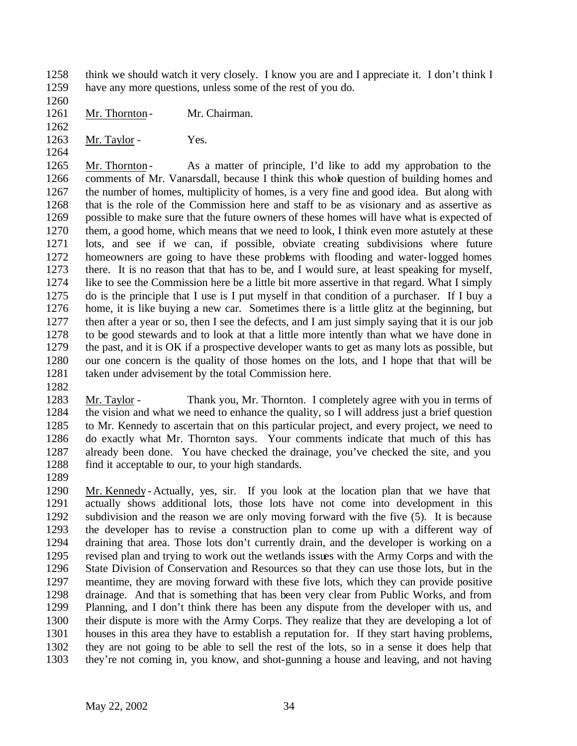think we should watch it very closely. I know you are and I appreciate it. I don't think I have any more questions, unless some of the rest of you do.

1261 Mr. Thornton - Mr. Chairman.

1263 Mr. Taylor - Yes.

1265 Mr. Thornton - As a matter of principle, I'd like to add my approbation to the comments of Mr. Vanarsdall, because I think this whole question of building homes and the number of homes, multiplicity of homes, is a very fine and good idea. But along with that is the role of the Commission here and staff to be as visionary and as assertive as possible to make sure that the future owners of these homes will have what is expected of them, a good home, which means that we need to look, I think even more astutely at these lots, and see if we can, if possible, obviate creating subdivisions where future homeowners are going to have these problems with flooding and water-logged homes there. It is no reason that that has to be, and I would sure, at least speaking for myself, like to see the Commission here be a little bit more assertive in that regard. What I simply do is the principle that I use is I put myself in that condition of a purchaser. If I buy a home, it is like buying a new car. Sometimes there is a little glitz at the beginning, but then after a year or so, then I see the defects, and I am just simply saying that it is our job to be good stewards and to look at that a little more intently than what we have done in the past, and it is OK if a prospective developer wants to get as many lots as possible, but our one concern is the quality of those homes on the lots, and I hope that that will be taken under advisement by the total Commission here.

 Mr. Taylor - Thank you, Mr. Thornton. I completely agree with you in terms of the vision and what we need to enhance the quality, so I will address just a brief question to Mr. Kennedy to ascertain that on this particular project, and every project, we need to do exactly what Mr. Thornton says. Your comments indicate that much of this has already been done. You have checked the drainage, you've checked the site, and you 1288 find it acceptable to our, to your high standards.

 Mr. Kennedy - Actually, yes, sir. If you look at the location plan that we have that actually shows additional lots, those lots have not come into development in this subdivision and the reason we are only moving forward with the five (5). It is because the developer has to revise a construction plan to come up with a different way of draining that area. Those lots don't currently drain, and the developer is working on a revised plan and trying to work out the wetlands issues with the Army Corps and with the State Division of Conservation and Resources so that they can use those lots, but in the meantime, they are moving forward with these five lots, which they can provide positive drainage. And that is something that has been very clear from Public Works, and from Planning, and I don't think there has been any dispute from the developer with us, and their dispute is more with the Army Corps. They realize that they are developing a lot of houses in this area they have to establish a reputation for. If they start having problems, they are not going to be able to sell the rest of the lots, so in a sense it does help that they're not coming in, you know, and shot-gunning a house and leaving, and not having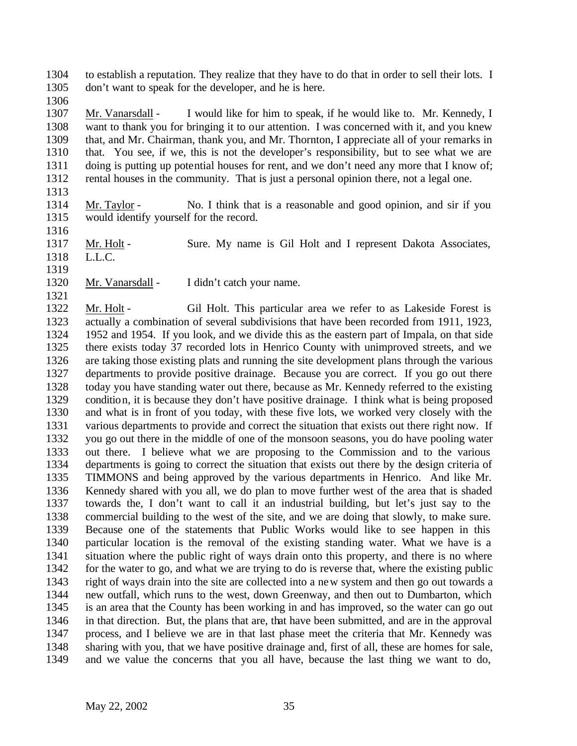to establish a reputation. They realize that they have to do that in order to sell their lots. I don't want to speak for the developer, and he is here.

 Mr. Vanarsdall - I would like for him to speak, if he would like to. Mr. Kennedy, I want to thank you for bringing it to our attention. I was concerned with it, and you knew that, and Mr. Chairman, thank you, and Mr. Thornton, I appreciate all of your remarks in that. You see, if we, this is not the developer's responsibility, but to see what we are doing is putting up potential houses for rent, and we don't need any more that I know of; rental houses in the community. That is just a personal opinion there, not a legal one.

- 
- Mr. Taylor No. I think that is a reasonable and good opinion, and sir if you would identify yourself for the record.
- 

1317 Mr. Holt - Sure. My name is Gil Holt and I represent Dakota Associates, L.L.C.

Mr. Vanarsdall - I didn't catch your name.

1322 Mr. Holt - Gil Holt. This particular area we refer to as Lakeside Forest is actually a combination of several subdivisions that have been recorded from 1911, 1923, 1952 and 1954. If you look, and we divide this as the eastern part of Impala, on that side there exists today 37 recorded lots in Henrico County with unimproved streets, and we are taking those existing plats and running the site development plans through the various departments to provide positive drainage. Because you are correct. If you go out there today you have standing water out there, because as Mr. Kennedy referred to the existing condition, it is because they don't have positive drainage. I think what is being proposed and what is in front of you today, with these five lots, we worked very closely with the various departments to provide and correct the situation that exists out there right now. If you go out there in the middle of one of the monsoon seasons, you do have pooling water out there. I believe what we are proposing to the Commission and to the various departments is going to correct the situation that exists out there by the design criteria of TIMMONS and being approved by the various departments in Henrico. And like Mr. Kennedy shared with you all, we do plan to move further west of the area that is shaded towards the, I don't want to call it an industrial building, but let's just say to the commercial building to the west of the site, and we are doing that slowly, to make sure. Because one of the statements that Public Works would like to see happen in this particular location is the removal of the existing standing water. What we have is a situation where the public right of ways drain onto this property, and there is no where for the water to go, and what we are trying to do is reverse that, where the existing public right of ways drain into the site are collected into a new system and then go out towards a new outfall, which runs to the west, down Greenway, and then out to Dumbarton, which is an area that the County has been working in and has improved, so the water can go out in that direction. But, the plans that are, that have been submitted, and are in the approval process, and I believe we are in that last phase meet the criteria that Mr. Kennedy was sharing with you, that we have positive drainage and, first of all, these are homes for sale, and we value the concerns that you all have, because the last thing we want to do,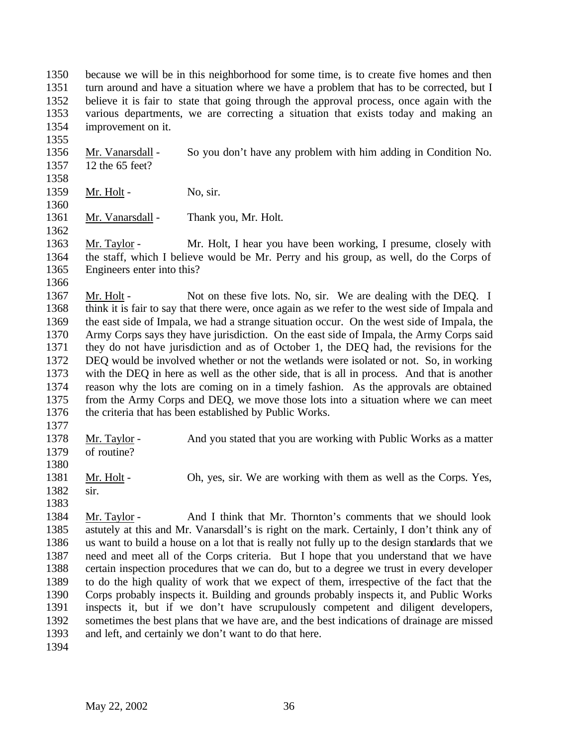because we will be in this neighborhood for some time, is to create five homes and then turn around and have a situation where we have a problem that has to be corrected, but I believe it is fair to state that going through the approval process, once again with the various departments, we are correcting a situation that exists today and making an improvement on it.

 Mr. Vanarsdall - So you don't have any problem with him adding in Condition No. 12 the 65 feet? 

- 1359 Mr. Holt No, sir.
- 

1361 Mr. Vanarsdall - Thank you, Mr. Holt.

 Mr. Taylor - Mr. Holt, I hear you have been working, I presume, closely with the staff, which I believe would be Mr. Perry and his group, as well, do the Corps of Engineers enter into this?

1367 Mr. Holt - Not on these five lots. No, sir. We are dealing with the DEQ. I think it is fair to say that there were, once again as we refer to the west side of Impala and the east side of Impala, we had a strange situation occur. On the west side of Impala, the Army Corps says they have jurisdiction. On the east side of Impala, the Army Corps said they do not have jurisdiction and as of October 1, the DEQ had, the revisions for the DEQ would be involved whether or not the wetlands were isolated or not. So, in working with the DEQ in here as well as the other side, that is all in process. And that is another reason why the lots are coming on in a timely fashion. As the approvals are obtained from the Army Corps and DEQ, we move those lots into a situation where we can meet the criteria that has been established by Public Works.

1378 Mr. Taylor - And you stated that you are working with Public Works as a matter of routine?

1381 Mr. Holt - Oh, yes, sir. We are working with them as well as the Corps. Yes,

 sir. 

 Mr. Taylor - And I think that Mr. Thornton's comments that we should look astutely at this and Mr. Vanarsdall's is right on the mark. Certainly, I don't think any of us want to build a house on a lot that is really not fully up to the design standards that we need and meet all of the Corps criteria. But I hope that you understand that we have certain inspection procedures that we can do, but to a degree we trust in every developer to do the high quality of work that we expect of them, irrespective of the fact that the Corps probably inspects it. Building and grounds probably inspects it, and Public Works inspects it, but if we don't have scrupulously competent and diligent developers, sometimes the best plans that we have are, and the best indications of drainage are missed and left, and certainly we don't want to do that here.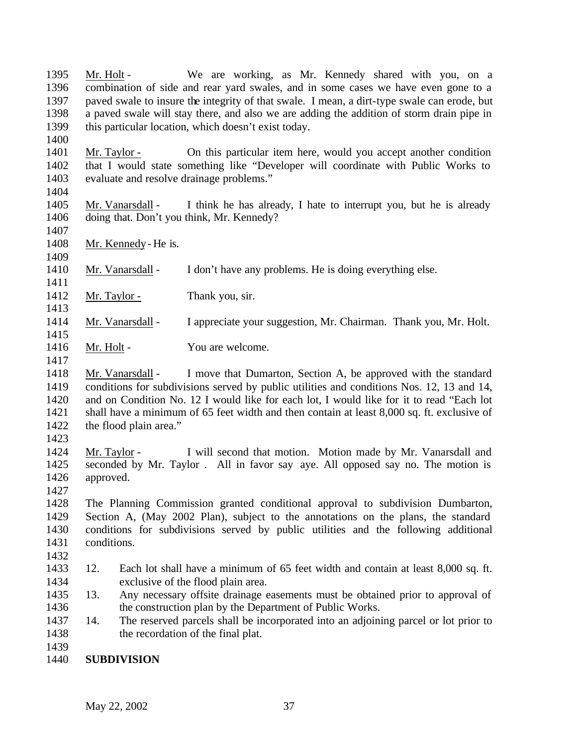1395 Mr. Holt - We are working, as Mr. Kennedy shared with you, on a combination of side and rear yard swales, and in some cases we have even gone to a paved swale to insure the integrity of that swale. I mean, a dirt-type swale can erode, but a paved swale will stay there, and also we are adding the addition of storm drain pipe in this particular location, which doesn't exist today. 

 Mr. Taylor - On this particular item here, would you accept another condition that I would state something like "Developer will coordinate with Public Works to evaluate and resolve drainage problems."

 Mr. Vanarsdall - I think he has already, I hate to interrupt you, but he is already doing that. Don't you think, Mr. Kennedy?

Mr. Kennedy - He is.

Mr. Vanarsdall - I don't have any problems. He is doing everything else.

1412 Mr. Taylor - Thank you, sir.

Mr. Vanarsdall - I appreciate your suggestion, Mr. Chairman. Thank you, Mr. Holt.

- 1416 Mr. Holt You are welcome.
- Mr. Vanarsdall I move that Dumarton, Section A, be approved with the standard conditions for subdivisions served by public utilities and conditions Nos. 12, 13 and 14, and on Condition No. 12 I would like for each lot, I would like for it to read "Each lot shall have a minimum of 65 feet width and then contain at least 8,000 sq. ft. exclusive of the flood plain area."
- 

 Mr. Taylor - I will second that motion. Motion made by Mr. Vanarsdall and seconded by Mr. Taylor . All in favor say aye. All opposed say no. The motion is approved.

- The Planning Commission granted conditional approval to subdivision Dumbarton, Section A, (May 2002 Plan), subject to the annotations on the plans, the standard conditions for subdivisions served by public utilities and the following additional conditions.
- 12. Each lot shall have a minimum of 65 feet width and contain at least 8,000 sq. ft. exclusive of the flood plain area.
- 13. Any necessary offsite drainage easements must be obtained prior to approval of 1436 the construction plan by the Department of Public Works.
- 14. The reserved parcels shall be incorporated into an adjoining parcel or lot prior to the recordation of the final plat.
- 

**SUBDIVISION**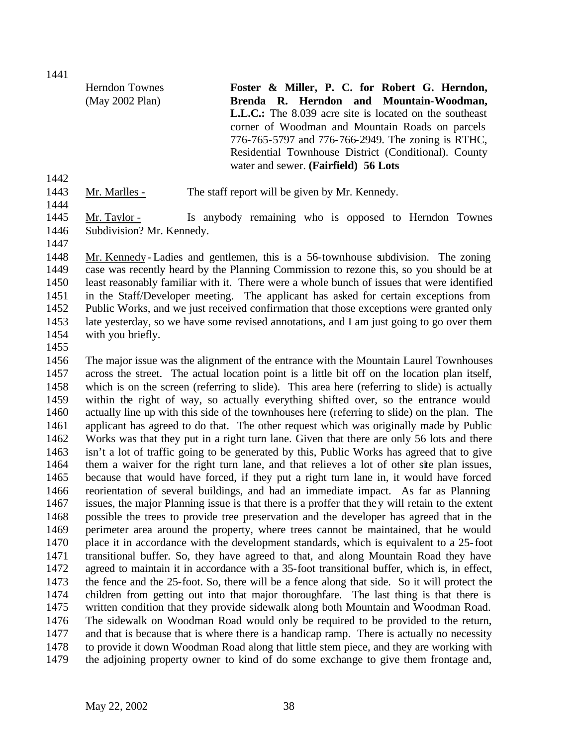Herndon Townes (May 2002 Plan) **Foster & Miller, P. C. for Robert G. Herndon, Brenda R. Herndon and Mountain-Woodman, L.L.C.:** The 8.039 acre site is located on the southeast corner of Woodman and Mountain Roads on parcels 776-765-5797 and 776-766-2949. The zoning is RTHC, Residential Townhouse District (Conditional). County water and sewer. **(Fairfield) 56 Lots**

- Mr. Marlles The staff report will be given by Mr. Kennedy.
- 

1445 Mr. Taylor - Is anybody remaining who is opposed to Herndon Townes

 Subdivision? Mr. Kennedy. 

 Mr. Kennedy - Ladies and gentlemen, this is a 56-townhouse subdivision. The zoning case was recently heard by the Planning Commission to rezone this, so you should be at least reasonably familiar with it. There were a whole bunch of issues that were identified in the Staff/Developer meeting. The applicant has asked for certain exceptions from Public Works, and we just received confirmation that those exceptions were granted only late yesterday, so we have some revised annotations, and I am just going to go over them with you briefly.

 The major issue was the alignment of the entrance with the Mountain Laurel Townhouses across the street. The actual location point is a little bit off on the location plan itself, which is on the screen (referring to slide). This area here (referring to slide) is actually within the right of way, so actually everything shifted over, so the entrance would actually line up with this side of the townhouses here (referring to slide) on the plan. The applicant has agreed to do that. The other request which was originally made by Public Works was that they put in a right turn lane. Given that there are only 56 lots and there isn't a lot of traffic going to be generated by this, Public Works has agreed that to give them a waiver for the right turn lane, and that relieves a lot of other site plan issues, because that would have forced, if they put a right turn lane in, it would have forced reorientation of several buildings, and had an immediate impact. As far as Planning issues, the major Planning issue is that there is a proffer that they will retain to the extent possible the trees to provide tree preservation and the developer has agreed that in the perimeter area around the property, where trees cannot be maintained, that he would place it in accordance with the development standards, which is equivalent to a 25-foot transitional buffer. So, they have agreed to that, and along Mountain Road they have agreed to maintain it in accordance with a 35-foot transitional buffer, which is, in effect, the fence and the 25-foot. So, there will be a fence along that side. So it will protect the children from getting out into that major thoroughfare. The last thing is that there is written condition that they provide sidewalk along both Mountain and Woodman Road. The sidewalk on Woodman Road would only be required to be provided to the return, and that is because that is where there is a handicap ramp. There is actually no necessity to provide it down Woodman Road along that little stem piece, and they are working with the adjoining property owner to kind of do some exchange to give them frontage and,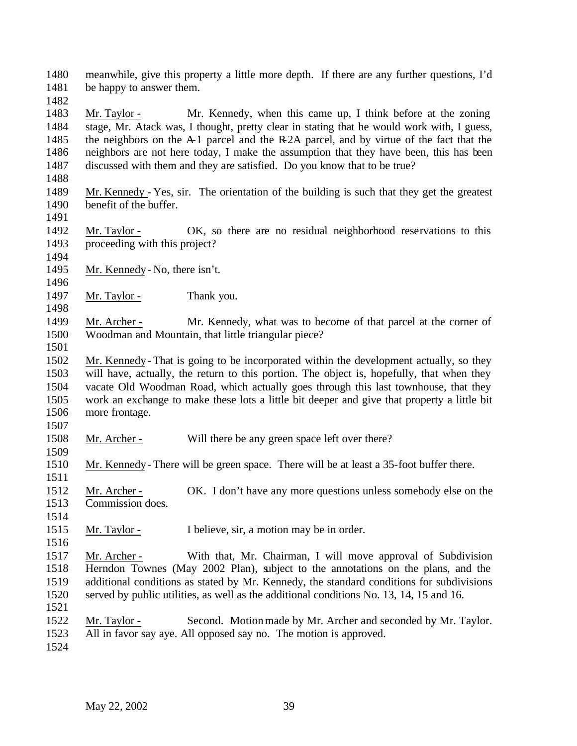meanwhile, give this property a little more depth. If there are any further questions, I'd be happy to answer them.

 Mr. Taylor - Mr. Kennedy, when this came up, I think before at the zoning stage, Mr. Atack was, I thought, pretty clear in stating that he would work with, I guess, the neighbors on the A-1 parcel and the R-2A parcel, and by virtue of the fact that the neighbors are not here today, I make the assumption that they have been, this has been discussed with them and they are satisfied. Do you know that to be true?

- Mr. Kennedy Yes, sir. The orientation of the building is such that they get the greatest benefit of the buffer.
- Mr. Taylor OK, so there are no residual neighborhood reservations to this proceeding with this project?
- Mr. Kennedy No, there isn't.
- 

1497 Mr. Taylor - Thank you.

 Mr. Archer - Mr. Kennedy, what was to become of that parcel at the corner of Woodman and Mountain, that little triangular piece?

 Mr. Kennedy - That is going to be incorporated within the development actually, so they will have, actually, the return to this portion. The object is, hopefully, that when they vacate Old Woodman Road, which actually goes through this last townhouse, that they work an exchange to make these lots a little bit deeper and give that property a little bit more frontage. 

1508 Mr. Archer - Will there be any green space left over there?

 Mr. Kennedy - There will be green space. There will be at least a 35-foot buffer there. 

 Mr. Archer - OK. I don't have any more questions unless somebody else on the Commission does.

 Mr. Taylor - I believe, sir, a motion may be in order. 

 Mr. Archer - With that, Mr. Chairman, I will move approval of Subdivision Herndon Townes (May 2002 Plan), subject to the annotations on the plans, and the additional conditions as stated by Mr. Kennedy, the standard conditions for subdivisions served by public utilities, as well as the additional conditions No. 13, 14, 15 and 16.

 Mr. Taylor - Second. Motion made by Mr. Archer and seconded by Mr. Taylor. All in favor say aye. All opposed say no. The motion is approved.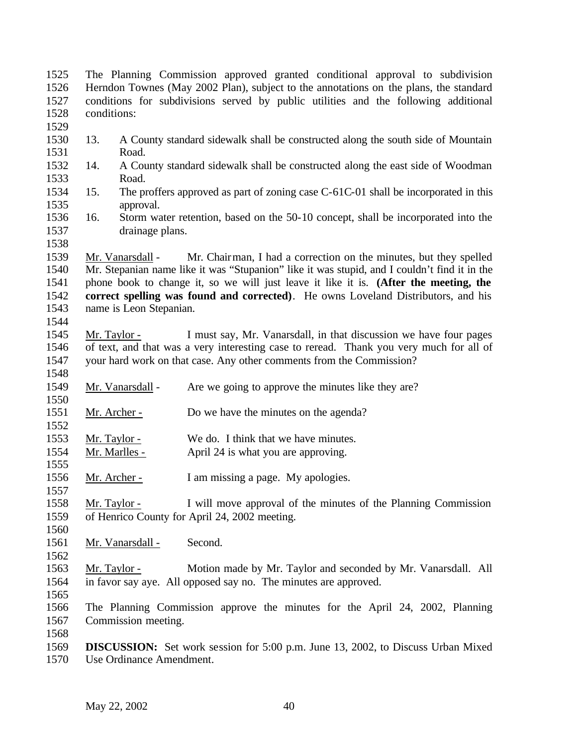| 1525         |                                                                                       | The Planning Commission approved granted conditional approval to subdivision                 |  |  |  |  |
|--------------|---------------------------------------------------------------------------------------|----------------------------------------------------------------------------------------------|--|--|--|--|
| 1526         | Herndon Townes (May 2002 Plan), subject to the annotations on the plans, the standard |                                                                                              |  |  |  |  |
| 1527         |                                                                                       | conditions for subdivisions served by public utilities and the following additional          |  |  |  |  |
| 1528<br>1529 | conditions:                                                                           |                                                                                              |  |  |  |  |
| 1530         | 13.                                                                                   | A County standard sidewalk shall be constructed along the south side of Mountain             |  |  |  |  |
| 1531         | Road.                                                                                 |                                                                                              |  |  |  |  |
| 1532         | 14.                                                                                   | A County standard sidewalk shall be constructed along the east side of Woodman               |  |  |  |  |
| 1533         | Road.                                                                                 |                                                                                              |  |  |  |  |
| 1534         | 15.                                                                                   | The proffers approved as part of zoning case $C$ -61 $C$ -01 shall be incorporated in this   |  |  |  |  |
| 1535         | approval.                                                                             |                                                                                              |  |  |  |  |
| 1536         | 16.                                                                                   | Storm water retention, based on the 50-10 concept, shall be incorporated into the            |  |  |  |  |
| 1537         | drainage plans.                                                                       |                                                                                              |  |  |  |  |
| 1538         |                                                                                       |                                                                                              |  |  |  |  |
| 1539         | Mr. Vanarsdall -                                                                      | Mr. Chairman, I had a correction on the minutes, but they spelled                            |  |  |  |  |
| 1540         |                                                                                       | Mr. Stepanian name like it was "Stupanion" like it was stupid, and I couldn't find it in the |  |  |  |  |
| 1541         |                                                                                       | phone book to change it, so we will just leave it like it is. (After the meeting, the        |  |  |  |  |
| 1542         |                                                                                       | correct spelling was found and corrected). He owns Loveland Distributors, and his            |  |  |  |  |
| 1543         | name is Leon Stepanian.                                                               |                                                                                              |  |  |  |  |
| 1544         |                                                                                       |                                                                                              |  |  |  |  |
| 1545         | Mr. Taylor -                                                                          | I must say, Mr. Vanarsdall, in that discussion we have four pages                            |  |  |  |  |
| 1546         |                                                                                       | of text, and that was a very interesting case to reread. Thank you very much for all of      |  |  |  |  |
| 1547<br>1548 |                                                                                       | your hard work on that case. Any other comments from the Commission?                         |  |  |  |  |
| 1549         | Mr. Vanarsdall -                                                                      | Are we going to approve the minutes like they are?                                           |  |  |  |  |
| 1550         |                                                                                       |                                                                                              |  |  |  |  |
| 1551<br>1552 | Mr. Archer -                                                                          | Do we have the minutes on the agenda?                                                        |  |  |  |  |
| 1553         | Mr. Taylor -                                                                          | We do. I think that we have minutes.                                                         |  |  |  |  |
| 1554         | Mr. Marlles -                                                                         | April 24 is what you are approving.                                                          |  |  |  |  |
| 1555         |                                                                                       |                                                                                              |  |  |  |  |
| 1556         | Mr. Archer -                                                                          | I am missing a page. My apologies.                                                           |  |  |  |  |
| 1557         |                                                                                       |                                                                                              |  |  |  |  |
| 1558         | Mr. Taylor -                                                                          | I will move approval of the minutes of the Planning Commission                               |  |  |  |  |
| 1559         |                                                                                       | of Henrico County for April 24, 2002 meeting.                                                |  |  |  |  |
| 1560         |                                                                                       |                                                                                              |  |  |  |  |
| 1561         | Mr. Vanarsdall -                                                                      | Second.                                                                                      |  |  |  |  |
| 1562         |                                                                                       |                                                                                              |  |  |  |  |
| 1563         | <u>Mr. Taylor -</u>                                                                   | Motion made by Mr. Taylor and seconded by Mr. Vanarsdall. All                                |  |  |  |  |
| 1564         |                                                                                       | in favor say aye. All opposed say no. The minutes are approved.                              |  |  |  |  |
| 1565         |                                                                                       |                                                                                              |  |  |  |  |
| 1566         |                                                                                       | The Planning Commission approve the minutes for the April 24, 2002, Planning                 |  |  |  |  |
| 1567         | Commission meeting.                                                                   |                                                                                              |  |  |  |  |
| 1568         |                                                                                       |                                                                                              |  |  |  |  |
| 1569         |                                                                                       | <b>DISCUSSION:</b> Set work session for 5:00 p.m. June 13, 2002, to Discuss Urban Mixed      |  |  |  |  |

Use Ordinance Amendment.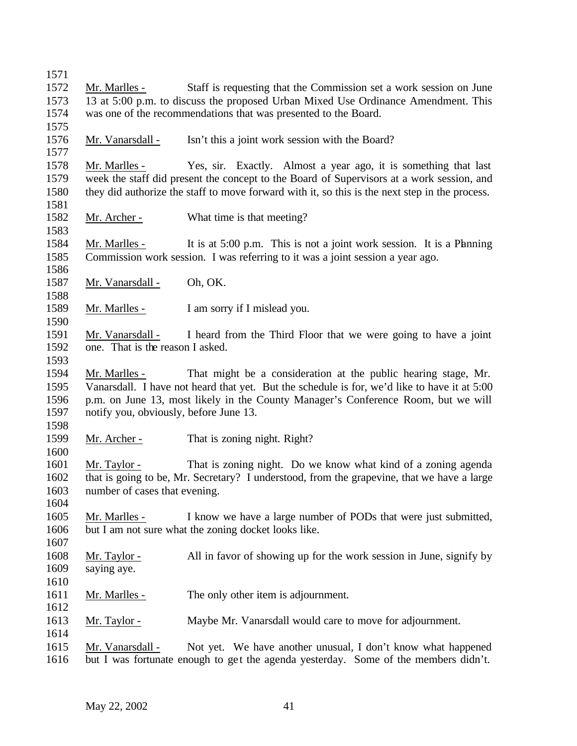| Mr. Marlles -                          | Staff is requesting that the Commission set a work session on June                                                                                                                                                                                                                                                                           |
|----------------------------------------|----------------------------------------------------------------------------------------------------------------------------------------------------------------------------------------------------------------------------------------------------------------------------------------------------------------------------------------------|
|                                        | 13 at 5:00 p.m. to discuss the proposed Urban Mixed Use Ordinance Amendment. This                                                                                                                                                                                                                                                            |
|                                        | was one of the recommendations that was presented to the Board.                                                                                                                                                                                                                                                                              |
| Mr. Vanarsdall -                       | Isn't this a joint work session with the Board?                                                                                                                                                                                                                                                                                              |
|                                        |                                                                                                                                                                                                                                                                                                                                              |
| Mr. Marlles -                          | Yes, sir. Exactly. Almost a year ago, it is something that last                                                                                                                                                                                                                                                                              |
|                                        | week the staff did present the concept to the Board of Supervisors at a work session, and                                                                                                                                                                                                                                                    |
|                                        | they did authorize the staff to move forward with it, so this is the next step in the process.                                                                                                                                                                                                                                               |
| <u>Mr. Archer -</u>                    | What time is that meeting?                                                                                                                                                                                                                                                                                                                   |
|                                        |                                                                                                                                                                                                                                                                                                                                              |
| Mr. Marlles -                          | It is at 5:00 p.m. This is not a joint work session. It is a Phaning                                                                                                                                                                                                                                                                         |
|                                        | Commission work session. I was referring to it was a joint session a year ago.                                                                                                                                                                                                                                                               |
|                                        |                                                                                                                                                                                                                                                                                                                                              |
| Mr. Vanarsdall -                       | Oh, OK.                                                                                                                                                                                                                                                                                                                                      |
|                                        |                                                                                                                                                                                                                                                                                                                                              |
| Mr. Marlles -                          | I am sorry if I mislead you.                                                                                                                                                                                                                                                                                                                 |
|                                        |                                                                                                                                                                                                                                                                                                                                              |
| Mr. Vanarsdall -                       | I heard from the Third Floor that we were going to have a joint                                                                                                                                                                                                                                                                              |
| one. That is the reason I asked.       |                                                                                                                                                                                                                                                                                                                                              |
| Mr. Marlles -                          | That might be a consideration at the public hearing stage, Mr.                                                                                                                                                                                                                                                                               |
|                                        | Vanarsdall. I have not heard that yet. But the schedule is for, we'd like to have it at 5:00                                                                                                                                                                                                                                                 |
|                                        | p.m. on June 13, most likely in the County Manager's Conference Room, but we will                                                                                                                                                                                                                                                            |
| notify you, obviously, before June 13. |                                                                                                                                                                                                                                                                                                                                              |
|                                        |                                                                                                                                                                                                                                                                                                                                              |
| <u>Mr. Archer -</u>                    | That is zoning night. Right?                                                                                                                                                                                                                                                                                                                 |
|                                        |                                                                                                                                                                                                                                                                                                                                              |
| Mr. Taylor -                           |                                                                                                                                                                                                                                                                                                                                              |
|                                        |                                                                                                                                                                                                                                                                                                                                              |
|                                        |                                                                                                                                                                                                                                                                                                                                              |
| number of cases that evening.          |                                                                                                                                                                                                                                                                                                                                              |
|                                        |                                                                                                                                                                                                                                                                                                                                              |
|                                        |                                                                                                                                                                                                                                                                                                                                              |
| Mr. Marlles -                          | but I am not sure what the zoning docket looks like.                                                                                                                                                                                                                                                                                         |
|                                        |                                                                                                                                                                                                                                                                                                                                              |
| <u>Mr. Taylor -</u>                    |                                                                                                                                                                                                                                                                                                                                              |
| saying aye.                            |                                                                                                                                                                                                                                                                                                                                              |
|                                        |                                                                                                                                                                                                                                                                                                                                              |
| Mr. Marlles -                          | That is zoning night. Do we know what kind of a zoning agenda<br>that is going to be, Mr. Secretary? I understood, from the grapevine, that we have a large<br>I know we have a large number of PODs that were just submitted,<br>All in favor of showing up for the work session in June, signify by<br>The only other item is adjournment. |
|                                        |                                                                                                                                                                                                                                                                                                                                              |
| <u>Mr. Taylor -</u>                    | Maybe Mr. Vanarsdall would care to move for adjournment.                                                                                                                                                                                                                                                                                     |
| Mr. Vanarsdall -                       | Not yet. We have another unusual, I don't know what happened                                                                                                                                                                                                                                                                                 |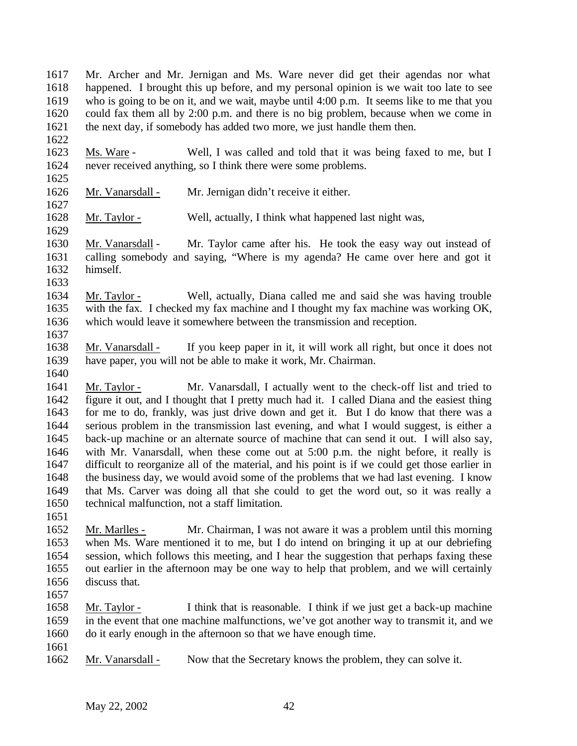Mr. Archer and Mr. Jernigan and Ms. Ware never did get their agendas nor what happened. I brought this up before, and my personal opinion is we wait too late to see who is going to be on it, and we wait, maybe until 4:00 p.m. It seems like to me that you could fax them all by 2:00 p.m. and there is no big problem, because when we come in the next day, if somebody has added two more, we just handle them then.

 Ms. Ware - Well, I was called and told that it was being faxed to me, but I never received anything, so I think there were some problems.

Mr. Vanarsdall - Mr. Jernigan didn't receive it either.

Mr. Taylor - Well, actually, I think what happened last night was,

 Mr. Vanarsdall - Mr. Taylor came after his. He took the easy way out instead of calling somebody and saying, "Where is my agenda? He came over here and got it himself.

 Mr. Taylor - Well, actually, Diana called me and said she was having trouble with the fax. I checked my fax machine and I thought my fax machine was working OK, which would leave it somewhere between the transmission and reception.

 Mr. Vanarsdall - If you keep paper in it, it will work all right, but once it does not have paper, you will not be able to make it work, Mr. Chairman.

 Mr. Taylor - Mr. Vanarsdall, I actually went to the check-off list and tried to figure it out, and I thought that I pretty much had it. I called Diana and the easiest thing for me to do, frankly, was just drive down and get it. But I do know that there was a serious problem in the transmission last evening, and what I would suggest, is either a back-up machine or an alternate source of machine that can send it out. I will also say, with Mr. Vanarsdall, when these come out at 5:00 p.m. the night before, it really is difficult to reorganize all of the material, and his point is if we could get those earlier in the business day, we would avoid some of the problems that we had last evening. I know that Ms. Carver was doing all that she could to get the word out, so it was really a technical malfunction, not a staff limitation.

 Mr. Marlles - Mr. Chairman, I was not aware it was a problem until this morning when Ms. Ware mentioned it to me, but I do intend on bringing it up at our debriefing session, which follows this meeting, and I hear the suggestion that perhaps faxing these out earlier in the afternoon may be one way to help that problem, and we will certainly discuss that.

 Mr. Taylor - I think that is reasonable. I think if we just get a back-up machine in the event that one machine malfunctions, we've got another way to transmit it, and we do it early enough in the afternoon so that we have enough time.

- 
- Mr. Vanarsdall Now that the Secretary knows the problem, they can solve it.